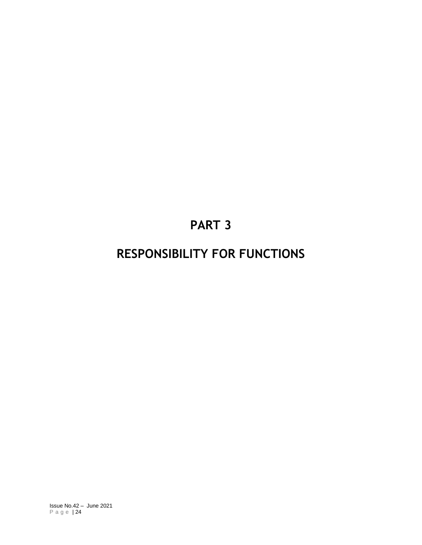# **PART 3**

# **RESPONSIBILITY FOR FUNCTIONS**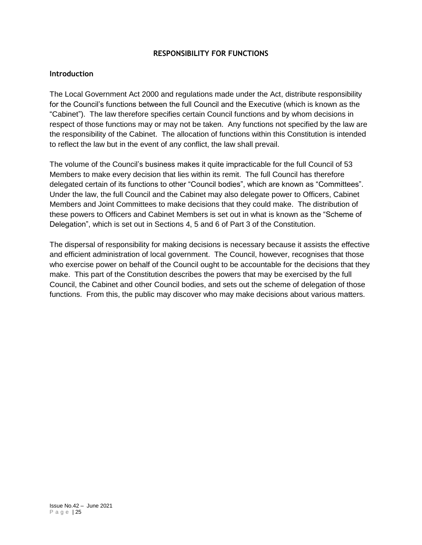#### **RESPONSIBILITY FOR FUNCTIONS**

#### **Introduction**

The Local Government Act 2000 and regulations made under the Act, distribute responsibility for the Council's functions between the full Council and the Executive (which is known as the "Cabinet"). The law therefore specifies certain Council functions and by whom decisions in respect of those functions may or may not be taken. Any functions not specified by the law are the responsibility of the Cabinet. The allocation of functions within this Constitution is intended to reflect the law but in the event of any conflict, the law shall prevail.

The volume of the Council's business makes it quite impracticable for the full Council of 53 Members to make every decision that lies within its remit. The full Council has therefore delegated certain of its functions to other "Council bodies", which are known as "Committees". Under the law, the full Council and the Cabinet may also delegate power to Officers, Cabinet Members and Joint Committees to make decisions that they could make. The distribution of these powers to Officers and Cabinet Members is set out in what is known as the "Scheme of Delegation", which is set out in Sections 4, 5 and 6 of Part 3 of the Constitution.

The dispersal of responsibility for making decisions is necessary because it assists the effective and efficient administration of local government. The Council, however, recognises that those who exercise power on behalf of the Council ought to be accountable for the decisions that they make. This part of the Constitution describes the powers that may be exercised by the full Council, the Cabinet and other Council bodies, and sets out the scheme of delegation of those functions. From this, the public may discover who may make decisions about various matters.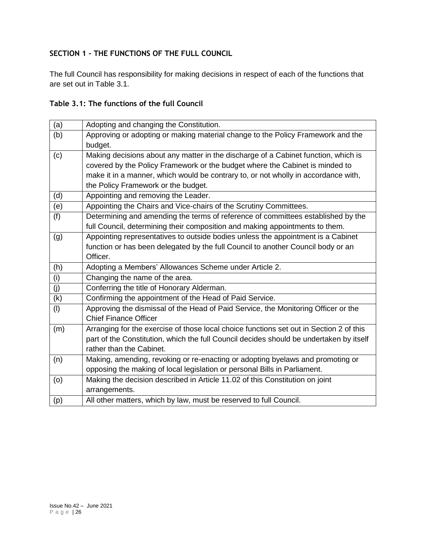## **SECTION 1 - THE FUNCTIONS OF THE FULL COUNCIL**

The full Council has responsibility for making decisions in respect of each of the functions that are set out in Table 3.1.

# **Table 3.1: The functions of the full Council**

| (a) | Adopting and changing the Constitution.                                                 |  |
|-----|-----------------------------------------------------------------------------------------|--|
| (b) | Approving or adopting or making material change to the Policy Framework and the         |  |
|     | budget.                                                                                 |  |
| (c) | Making decisions about any matter in the discharge of a Cabinet function, which is      |  |
|     | covered by the Policy Framework or the budget where the Cabinet is minded to            |  |
|     | make it in a manner, which would be contrary to, or not wholly in accordance with,      |  |
|     | the Policy Framework or the budget.                                                     |  |
| (d) | Appointing and removing the Leader.                                                     |  |
| (e) | Appointing the Chairs and Vice-chairs of the Scrutiny Committees.                       |  |
| (f) | Determining and amending the terms of reference of committees established by the        |  |
|     | full Council, determining their composition and making appointments to them.            |  |
| (g) | Appointing representatives to outside bodies unless the appointment is a Cabinet        |  |
|     | function or has been delegated by the full Council to another Council body or an        |  |
|     | Officer.                                                                                |  |
| (h) | Adopting a Members' Allowances Scheme under Article 2.                                  |  |
| (i) | Changing the name of the area.                                                          |  |
| (j) | Conferring the title of Honorary Alderman.                                              |  |
| (k) | Confirming the appointment of the Head of Paid Service.                                 |  |
| (1) | Approving the dismissal of the Head of Paid Service, the Monitoring Officer or the      |  |
|     | <b>Chief Finance Officer</b>                                                            |  |
| (m) | Arranging for the exercise of those local choice functions set out in Section 2 of this |  |
|     | part of the Constitution, which the full Council decides should be undertaken by itself |  |
|     | rather than the Cabinet.                                                                |  |
| (n) | Making, amending, revoking or re-enacting or adopting byelaws and promoting or          |  |
|     | opposing the making of local legislation or personal Bills in Parliament.               |  |
| (0) | Making the decision described in Article 11.02 of this Constitution on joint            |  |
|     | arrangements.                                                                           |  |
| (p) | All other matters, which by law, must be reserved to full Council.                      |  |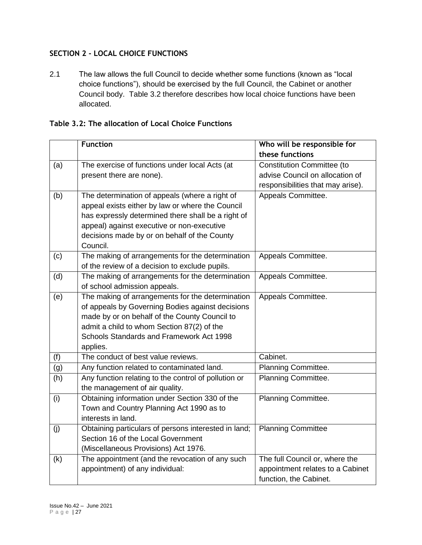# **SECTION 2 - LOCAL CHOICE FUNCTIONS**

2.1 The law allows the full Council to decide whether some functions (known as "local choice functions"), should be exercised by the full Council, the Cabinet or another Council body. Table 3.2 therefore describes how local choice functions have been allocated.

| Table 3.2: The allocation of Local Choice Functions |
|-----------------------------------------------------|
|-----------------------------------------------------|

|     | <b>Function</b>                                      | Who will be responsible for       |
|-----|------------------------------------------------------|-----------------------------------|
|     |                                                      | these functions                   |
|     |                                                      |                                   |
| (a) | The exercise of functions under local Acts (at       | <b>Constitution Committee (to</b> |
|     | present there are none).                             | advise Council on allocation of   |
|     |                                                      | responsibilities that may arise). |
| (b) | The determination of appeals (where a right of       | Appeals Committee.                |
|     | appeal exists either by law or where the Council     |                                   |
|     | has expressly determined there shall be a right of   |                                   |
|     | appeal) against executive or non-executive           |                                   |
|     | decisions made by or on behalf of the County         |                                   |
|     | Council.                                             |                                   |
| (c) | The making of arrangements for the determination     | Appeals Committee.                |
|     | of the review of a decision to exclude pupils.       |                                   |
| (d) | The making of arrangements for the determination     | Appeals Committee.                |
|     | of school admission appeals.                         |                                   |
| (e) | The making of arrangements for the determination     | Appeals Committee.                |
|     | of appeals by Governing Bodies against decisions     |                                   |
|     | made by or on behalf of the County Council to        |                                   |
|     | admit a child to whom Section 87(2) of the           |                                   |
|     | Schools Standards and Framework Act 1998             |                                   |
|     | applies.                                             |                                   |
| (f) | The conduct of best value reviews.                   | Cabinet.                          |
| (g) | Any function related to contaminated land.           | Planning Committee.               |
| (h) | Any function relating to the control of pollution or | Planning Committee.               |
|     | the management of air quality.                       |                                   |
| (i) | Obtaining information under Section 330 of the       | Planning Committee.               |
|     | Town and Country Planning Act 1990 as to             |                                   |
|     | interests in land.                                   |                                   |
| (j) | Obtaining particulars of persons interested in land; | <b>Planning Committee</b>         |
|     | Section 16 of the Local Government                   |                                   |
|     | (Miscellaneous Provisions) Act 1976.                 |                                   |
| (k) | The appointment (and the revocation of any such      | The full Council or, where the    |
|     | appointment) of any individual:                      | appointment relates to a Cabinet  |
|     |                                                      | function, the Cabinet.            |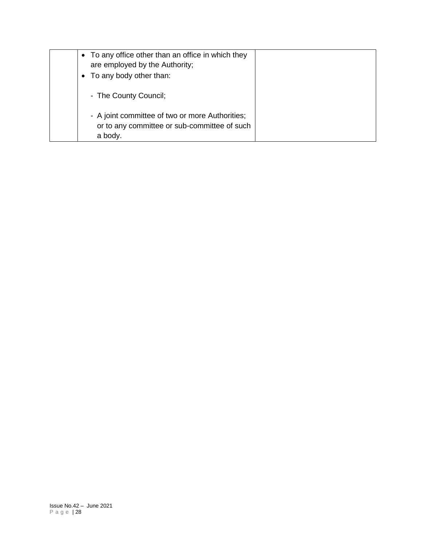| • To any office other than an office in which they<br>are employed by the Authority; |  |
|--------------------------------------------------------------------------------------|--|
| • To any body other than:                                                            |  |
| - The County Council;<br>- A joint committee of two or more Authorities;             |  |
| or to any committee or sub-committee of such<br>a body.                              |  |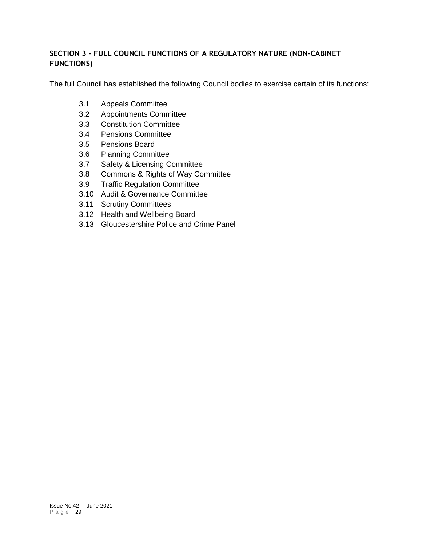# **SECTION 3 - FULL COUNCIL FUNCTIONS OF A REGULATORY NATURE (NON-CABINET FUNCTIONS)**

The full Council has established the following Council bodies to exercise certain of its functions:

- 3.1 Appeals Committee
- 3.2 Appointments Committee
- 3.3 Constitution Committee
- 3.4 Pensions Committee
- 3.5 Pensions Board
- 3.6 Planning Committee
- 3.7 Safety & Licensing Committee
- 3.8 Commons & Rights of Way Committee
- 3.9 Traffic Regulation Committee
- 3.10 Audit & Governance Committee
- 3.11 Scrutiny Committees
- 3.12 Health and Wellbeing Board
- 3.13 Gloucestershire Police and Crime Panel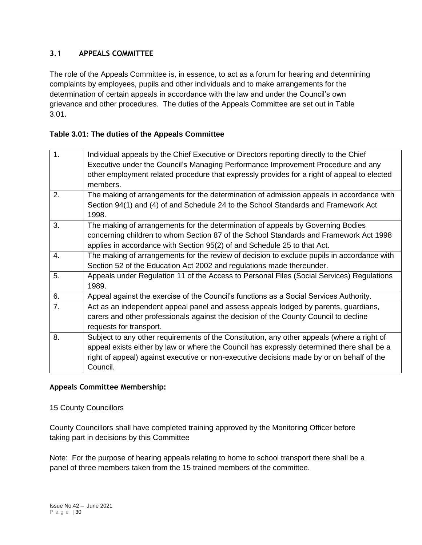## **3.1 APPEALS COMMITTEE**

The role of the Appeals Committee is, in essence, to act as a forum for hearing and determining complaints by employees, pupils and other individuals and to make arrangements for the determination of certain appeals in accordance with the law and under the Council's own grievance and other procedures. The duties of the Appeals Committee are set out in Table 3.01.

## **Table 3.01: The duties of the Appeals Committee**

| 1. | Individual appeals by the Chief Executive or Directors reporting directly to the Chief      |
|----|---------------------------------------------------------------------------------------------|
|    | Executive under the Council's Managing Performance Improvement Procedure and any            |
|    | other employment related procedure that expressly provides for a right of appeal to elected |
|    | members.                                                                                    |
| 2. | The making of arrangements for the determination of admission appeals in accordance with    |
|    | Section 94(1) and (4) of and Schedule 24 to the School Standards and Framework Act          |
|    | 1998.                                                                                       |
| 3. | The making of arrangements for the determination of appeals by Governing Bodies             |
|    | concerning children to whom Section 87 of the School Standards and Framework Act 1998       |
|    | applies in accordance with Section 95(2) of and Schedule 25 to that Act.                    |
| 4. | The making of arrangements for the review of decision to exclude pupils in accordance with  |
|    | Section 52 of the Education Act 2002 and regulations made thereunder.                       |
| 5. | Appeals under Regulation 11 of the Access to Personal Files (Social Services) Regulations   |
|    | 1989.                                                                                       |
| 6. | Appeal against the exercise of the Council's functions as a Social Services Authority.      |
| 7. | Act as an independent appeal panel and assess appeals lodged by parents, guardians,         |
|    | carers and other professionals against the decision of the County Council to decline        |
|    | requests for transport.                                                                     |
| 8. | Subject to any other requirements of the Constitution, any other appeals (where a right of  |
|    | appeal exists either by law or where the Council has expressly determined there shall be a  |
|    | right of appeal) against executive or non-executive decisions made by or on behalf of the   |
|    | Council.                                                                                    |
|    |                                                                                             |

#### **Appeals Committee Membership:**

15 County Councillors

County Councillors shall have completed training approved by the Monitoring Officer before taking part in decisions by this Committee

Note: For the purpose of hearing appeals relating to home to school transport there shall be a panel of three members taken from the 15 trained members of the committee.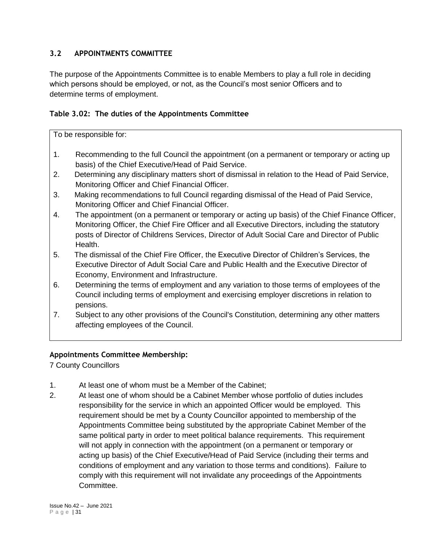## **3.2 APPOINTMENTS COMMITTEE**

The purpose of the Appointments Committee is to enable Members to play a full role in deciding which persons should be employed, or not, as the Council's most senior Officers and to determine terms of employment.

## **Table 3.02: The duties of the Appointments Committee**

To be responsible for:

- 1. Recommending to the full Council the appointment (on a permanent or temporary or acting up basis) of the Chief Executive/Head of Paid Service.
- 2. Determining any disciplinary matters short of dismissal in relation to the Head of Paid Service, Monitoring Officer and Chief Financial Officer.
- 3. Making recommendations to full Council regarding dismissal of the Head of Paid Service, Monitoring Officer and Chief Financial Officer.
- 4. The appointment (on a permanent or temporary or acting up basis) of the Chief Finance Officer, Monitoring Officer, the Chief Fire Officer and all Executive Directors, including the statutory posts of Director of Childrens Services, Director of Adult Social Care and Director of Public Health.
- 5. The dismissal of the Chief Fire Officer, the Executive Director of Children's Services, the Executive Director of Adult Social Care and Public Health and the Executive Director of Economy, Environment and Infrastructure.
- 6. Determining the terms of employment and any variation to those terms of employees of the Council including terms of employment and exercising employer discretions in relation to pensions.
- 7. Subject to any other provisions of the Council's Constitution, determining any other matters affecting employees of the Council.

# **Appointments Committee Membership:**

7 County Councillors

- 1. At least one of whom must be a Member of the Cabinet;
- 2. At least one of whom should be a Cabinet Member whose portfolio of duties includes responsibility for the service in which an appointed Officer would be employed. This requirement should be met by a County Councillor appointed to membership of the Appointments Committee being substituted by the appropriate Cabinet Member of the same political party in order to meet political balance requirements. This requirement will not apply in connection with the appointment (on a permanent or temporary or acting up basis) of the Chief Executive/Head of Paid Service (including their terms and conditions of employment and any variation to those terms and conditions). Failure to comply with this requirement will not invalidate any proceedings of the Appointments Committee.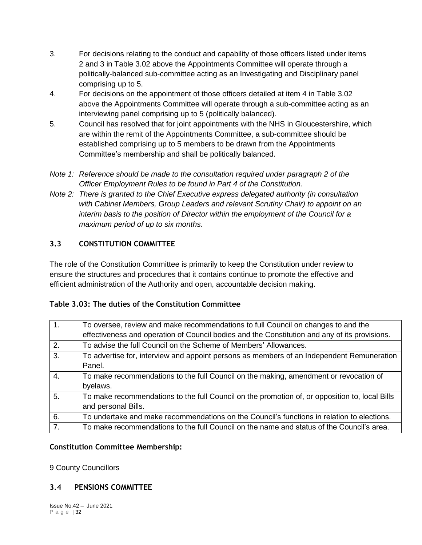- 3. For decisions relating to the conduct and capability of those officers listed under items 2 and 3 in Table 3.02 above the Appointments Committee will operate through a politically-balanced sub-committee acting as an Investigating and Disciplinary panel comprising up to 5.
- 4. For decisions on the appointment of those officers detailed at item 4 in Table 3.02 above the Appointments Committee will operate through a sub-committee acting as an interviewing panel comprising up to 5 (politically balanced).
- 5. Council has resolved that for joint appointments with the NHS in Gloucestershire, which are within the remit of the Appointments Committee, a sub-committee should be established comprising up to 5 members to be drawn from the Appointments Committee's membership and shall be politically balanced.
- *Note 1: Reference should be made to the consultation required under paragraph 2 of the Officer Employment Rules to be found in Part 4 of the Constitution.*
- *Note 2: There is granted to the Chief Executive express delegated authority (in consultation with Cabinet Members, Group Leaders and relevant Scrutiny Chair) to appoint on an interim basis to the position of Director within the employment of the Council for a maximum period of up to six months.*

# **3.3 CONSTITUTION COMMITTEE**

The role of the Constitution Committee is primarily to keep the Constitution under review to ensure the structures and procedures that it contains continue to promote the effective and efficient administration of the Authority and open, accountable decision making.

## **Table 3.03: The duties of the Constitution Committee**

| $\overline{1}$ . | To oversee, review and make recommendations to full Council on changes to and the              |
|------------------|------------------------------------------------------------------------------------------------|
|                  | effectiveness and operation of Council bodies and the Constitution and any of its provisions.  |
| $\overline{2}$ . | To advise the full Council on the Scheme of Members' Allowances.                               |
| $\overline{3}$ . | To advertise for, interview and appoint persons as members of an Independent Remuneration      |
|                  | Panel.                                                                                         |
| $\overline{4}$ . | To make recommendations to the full Council on the making, amendment or revocation of          |
|                  | byelaws.                                                                                       |
| 5.               | To make recommendations to the full Council on the promotion of, or opposition to, local Bills |
|                  | and personal Bills.                                                                            |
| 6.               | To undertake and make recommendations on the Council's functions in relation to elections.     |
| $\overline{7}$ . | To make recommendations to the full Council on the name and status of the Council's area.      |

## **Constitution Committee Membership:**

9 County Councillors

# **3.4 PENSIONS COMMITTEE**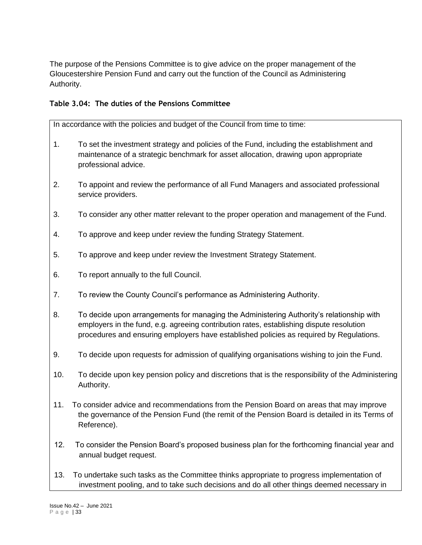The purpose of the Pensions Committee is to give advice on the proper management of the Gloucestershire Pension Fund and carry out the function of the Council as Administering Authority.

## **Table 3.04: The duties of the Pensions Committee**

In accordance with the policies and budget of the Council from time to time:

- 1. To set the investment strategy and policies of the Fund, including the establishment and maintenance of a strategic benchmark for asset allocation, drawing upon appropriate professional advice.
- 2. To appoint and review the performance of all Fund Managers and associated professional service providers.
- 3. To consider any other matter relevant to the proper operation and management of the Fund.
- 4. To approve and keep under review the funding Strategy Statement.
- 5. To approve and keep under review the Investment Strategy Statement.
- 6. To report annually to the full Council.
- 7. To review the County Council's performance as Administering Authority.
- 8. To decide upon arrangements for managing the Administering Authority's relationship with employers in the fund, e.g. agreeing contribution rates, establishing dispute resolution procedures and ensuring employers have established policies as required by Regulations.
- 9. To decide upon requests for admission of qualifying organisations wishing to join the Fund.
- 10. To decide upon key pension policy and discretions that is the responsibility of the Administering Authority.
- 11. To consider advice and recommendations from the Pension Board on areas that may improve the governance of the Pension Fund (the remit of the Pension Board is detailed in its Terms of Reference).
- 12. To consider the Pension Board's proposed business plan for the forthcoming financial year and annual budget request.
- 13. To undertake such tasks as the Committee thinks appropriate to progress implementation of investment pooling, and to take such decisions and do all other things deemed necessary in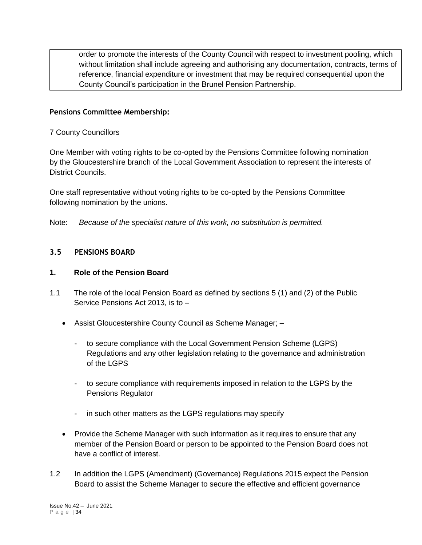order to promote the interests of the County Council with respect to investment pooling, which without limitation shall include agreeing and authorising any documentation, contracts, terms of reference, financial expenditure or investment that may be required consequential upon the County Council's participation in the Brunel Pension Partnership.

#### **Pensions Committee Membership:**

#### 7 County Councillors

One Member with voting rights to be co-opted by the Pensions Committee following nomination by the Gloucestershire branch of the Local Government Association to represent the interests of District Councils.

One staff representative without voting rights to be co-opted by the Pensions Committee following nomination by the unions.

Note: *Because of the specialist nature of this work, no substitution is permitted.*

#### **3.5 PENSIONS BOARD**

#### **1. Role of the Pension Board**

- 1.1 The role of the local Pension Board as defined by sections 5 (1) and (2) of the Public Service Pensions Act 2013, is to –
	- Assist Gloucestershire County Council as Scheme Manager;
		- to secure compliance with the Local Government Pension Scheme (LGPS) Regulations and any other legislation relating to the governance and administration of the LGPS
		- to secure compliance with requirements imposed in relation to the LGPS by the Pensions Regulator
		- in such other matters as the LGPS regulations may specify
	- Provide the Scheme Manager with such information as it requires to ensure that any member of the Pension Board or person to be appointed to the Pension Board does not have a conflict of interest.
- 1.2 In addition the LGPS (Amendment) (Governance) Regulations 2015 expect the Pension Board to assist the Scheme Manager to secure the effective and efficient governance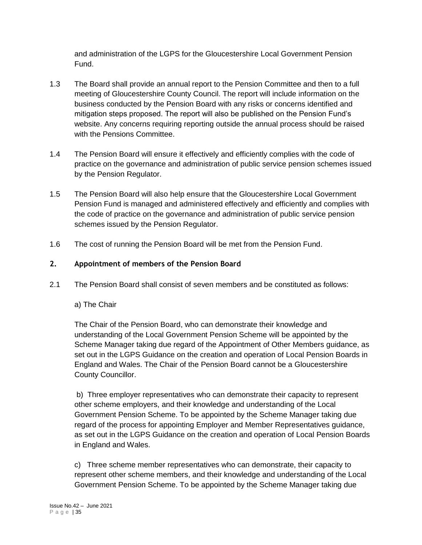and administration of the LGPS for the Gloucestershire Local Government Pension Fund.

- 1.3 The Board shall provide an annual report to the Pension Committee and then to a full meeting of Gloucestershire County Council. The report will include information on the business conducted by the Pension Board with any risks or concerns identified and mitigation steps proposed. The report will also be published on the Pension Fund's website. Any concerns requiring reporting outside the annual process should be raised with the Pensions Committee.
- 1.4 The Pension Board will ensure it effectively and efficiently complies with the code of practice on the governance and administration of public service pension schemes issued by the Pension Regulator.
- 1.5 The Pension Board will also help ensure that the Gloucestershire Local Government Pension Fund is managed and administered effectively and efficiently and complies with the code of practice on the governance and administration of public service pension schemes issued by the Pension Regulator.
- 1.6 The cost of running the Pension Board will be met from the Pension Fund.

## **2. Appointment of members of the Pension Board**

2.1 The Pension Board shall consist of seven members and be constituted as follows:

## a) The Chair

The Chair of the Pension Board, who can demonstrate their knowledge and understanding of the Local Government Pension Scheme will be appointed by the Scheme Manager taking due regard of the Appointment of Other Members guidance, as set out in the LGPS Guidance on the creation and operation of Local Pension Boards in England and Wales. The Chair of the Pension Board cannot be a Gloucestershire County Councillor.

b) Three employer representatives who can demonstrate their capacity to represent other scheme employers, and their knowledge and understanding of the Local Government Pension Scheme. To be appointed by the Scheme Manager taking due regard of the process for appointing Employer and Member Representatives guidance, as set out in the LGPS Guidance on the creation and operation of Local Pension Boards in England and Wales.

c) Three scheme member representatives who can demonstrate, their capacity to represent other scheme members, and their knowledge and understanding of the Local Government Pension Scheme. To be appointed by the Scheme Manager taking due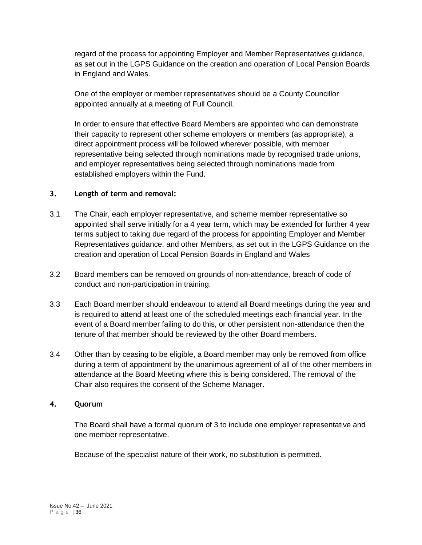regard of the process for appointing Employer and Member Representatives guidance, as set out in the LGPS Guidance on the creation and operation of Local Pension Boards in England and Wales.

One of the employer or member representatives should be a County Councillor appointed annually at a meeting of Full Council.

In order to ensure that effective Board Members are appointed who can demonstrate their capacity to represent other scheme employers or members (as appropriate), a direct appointment process will be followed wherever possible, with member representative being selected through nominations made by recognised trade unions, and employer representatives being selected through nominations made from established employers within the Fund.

#### **3. Length of term and removal:**

- 3.1 The Chair, each employer representative, and scheme member representative so appointed shall serve initially for a 4 year term, which may be extended for further 4 year terms subject to taking due regard of the process for appointing Employer and Member Representatives guidance, and other Members, as set out in the LGPS Guidance on the creation and operation of Local Pension Boards in England and Wales
- 3.2 Board members can be removed on grounds of non-attendance, breach of code of conduct and non-participation in training.
- 3.3 Each Board member should endeavour to attend all Board meetings during the year and is required to attend at least one of the scheduled meetings each financial year. In the event of a Board member failing to do this, or other persistent non-attendance then the tenure of that member should be reviewed by the other Board members.
- 3.4 Other than by ceasing to be eligible, a Board member may only be removed from office during a term of appointment by the unanimous agreement of all of the other members in attendance at the Board Meeting where this is being considered. The removal of the Chair also requires the consent of the Scheme Manager.

## **4. Quorum**

The Board shall have a formal quorum of 3 to include one employer representative and one member representative.

Because of the specialist nature of their work, no substitution is permitted.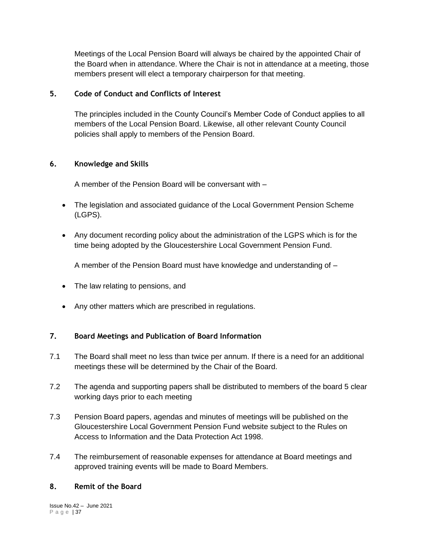Meetings of the Local Pension Board will always be chaired by the appointed Chair of the Board when in attendance. Where the Chair is not in attendance at a meeting, those members present will elect a temporary chairperson for that meeting.

#### **5. Code of Conduct and Conflicts of Interest**

The principles included in the County Council's Member Code of Conduct applies to all members of the Local Pension Board. Likewise, all other relevant County Council policies shall apply to members of the Pension Board.

#### **6. Knowledge and Skills**

A member of the Pension Board will be conversant with –

- The legislation and associated guidance of the Local Government Pension Scheme (LGPS).
- Any document recording policy about the administration of the LGPS which is for the time being adopted by the Gloucestershire Local Government Pension Fund.

A member of the Pension Board must have knowledge and understanding of –

- The law relating to pensions, and
- Any other matters which are prescribed in regulations.

#### **7. Board Meetings and Publication of Board Information**

- 7.1 The Board shall meet no less than twice per annum. If there is a need for an additional meetings these will be determined by the Chair of the Board.
- 7.2 The agenda and supporting papers shall be distributed to members of the board 5 clear working days prior to each meeting
- 7.3 Pension Board papers, agendas and minutes of meetings will be published on the Gloucestershire Local Government Pension Fund website subject to the Rules on Access to Information and the Data Protection Act 1998.
- 7.4 The reimbursement of reasonable expenses for attendance at Board meetings and approved training events will be made to Board Members.

#### **8. Remit of the Board**

Issue No.42 – June 2021 P a g e | 37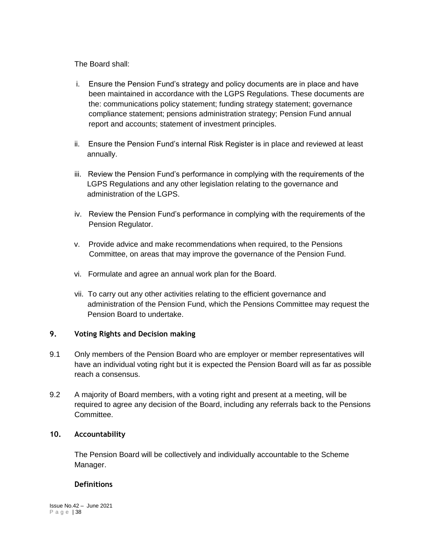The Board shall:

- i. Ensure the Pension Fund's strategy and policy documents are in place and have been maintained in accordance with the LGPS Regulations. These documents are the: communications policy statement; funding strategy statement; governance compliance statement; pensions administration strategy; Pension Fund annual report and accounts; statement of investment principles.
- ii. Ensure the Pension Fund's internal Risk Register is in place and reviewed at least annually.
- iii. Review the Pension Fund's performance in complying with the requirements of the LGPS Regulations and any other legislation relating to the governance and administration of the LGPS.
- iv. Review the Pension Fund's performance in complying with the requirements of the Pension Regulator.
- v. Provide advice and make recommendations when required, to the Pensions Committee, on areas that may improve the governance of the Pension Fund.
- vi. Formulate and agree an annual work plan for the Board.
- vii. To carry out any other activities relating to the efficient governance and administration of the Pension Fund, which the Pensions Committee may request the Pension Board to undertake.

## **9. Voting Rights and Decision making**

- 9.1 Only members of the Pension Board who are employer or member representatives will have an individual voting right but it is expected the Pension Board will as far as possible reach a consensus.
- 9.2 A majority of Board members, with a voting right and present at a meeting, will be required to agree any decision of the Board, including any referrals back to the Pensions Committee.

# **10. Accountability**

The Pension Board will be collectively and individually accountable to the Scheme Manager.

## **Definitions**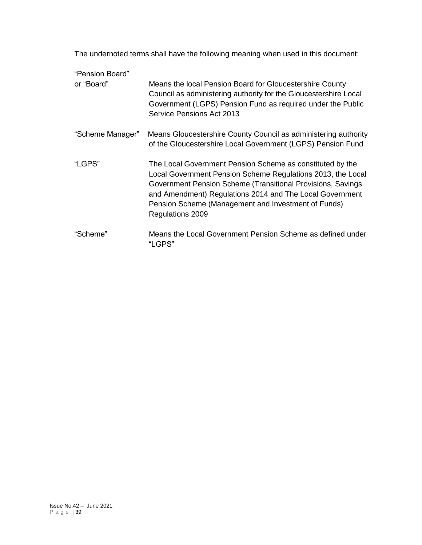The undernoted terms shall have the following meaning when used in this document:

| "Pension Board"  |                                                                                                                                                                                                                                                                                                                                |
|------------------|--------------------------------------------------------------------------------------------------------------------------------------------------------------------------------------------------------------------------------------------------------------------------------------------------------------------------------|
| or "Board"       | Means the local Pension Board for Gloucestershire County<br>Council as administering authority for the Gloucestershire Local<br>Government (LGPS) Pension Fund as required under the Public<br>Service Pensions Act 2013                                                                                                       |
| "Scheme Manager" | Means Gloucestershire County Council as administering authority<br>of the Gloucestershire Local Government (LGPS) Pension Fund                                                                                                                                                                                                 |
| "LGPS"           | The Local Government Pension Scheme as constituted by the<br>Local Government Pension Scheme Regulations 2013, the Local<br>Government Pension Scheme (Transitional Provisions, Savings<br>and Amendment) Regulations 2014 and The Local Government<br>Pension Scheme (Management and Investment of Funds)<br>Regulations 2009 |
| "Scheme"         | Means the Local Government Pension Scheme as defined under<br>"LGPS"                                                                                                                                                                                                                                                           |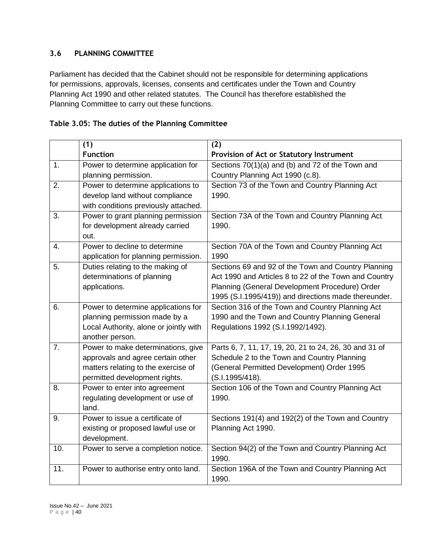## **3.6 PLANNING COMMITTEE**

Parliament has decided that the Cabinet should not be responsible for determining applications for permissions, approvals, licenses, consents and certificates under the Town and Country Planning Act 1990 and other related statutes. The Council has therefore established the Planning Committee to carry out these functions.

|                  | (1)                                    | (2)                                                    |
|------------------|----------------------------------------|--------------------------------------------------------|
|                  | <b>Function</b>                        | Provision of Act or Statutory Instrument               |
| $\overline{1}$ . | Power to determine application for     | Sections 70(1)(a) and (b) and 72 of the Town and       |
|                  | planning permission.                   | Country Planning Act 1990 (c.8).                       |
| $\overline{2}$ . | Power to determine applications to     | Section 73 of the Town and Country Planning Act        |
|                  | develop land without compliance        | 1990.                                                  |
|                  | with conditions previously attached.   |                                                        |
| $\overline{3}$ . | Power to grant planning permission     | Section 73A of the Town and Country Planning Act       |
|                  | for development already carried        | 1990.                                                  |
|                  | out.                                   |                                                        |
| $\overline{4}$ . | Power to decline to determine          | Section 70A of the Town and Country Planning Act       |
|                  | application for planning permission.   | 1990                                                   |
| 5.               | Duties relating to the making of       | Sections 69 and 92 of the Town and Country Planning    |
|                  | determinations of planning             | Act 1990 and Articles 8 to 22 of the Town and Country  |
|                  | applications.                          | Planning (General Development Procedure) Order         |
|                  |                                        | 1995 (S.I.1995/419)) and directions made thereunder.   |
| 6.               | Power to determine applications for    | Section 316 of the Town and Country Planning Act       |
|                  | planning permission made by a          | 1990 and the Town and Country Planning General         |
|                  | Local Authority, alone or jointly with | Regulations 1992 (S.I.1992/1492).                      |
|                  | another person.                        |                                                        |
| $\overline{7}$ . | Power to make determinations, give     | Parts 6, 7, 11, 17, 19, 20, 21 to 24, 26, 30 and 31 of |
|                  | approvals and agree certain other      | Schedule 2 to the Town and Country Planning            |
|                  | matters relating to the exercise of    | (General Permitted Development) Order 1995             |

| Table 3.05: The duties of the Planning Committee |  |  |
|--------------------------------------------------|--|--|
|--------------------------------------------------|--|--|

|     | Local Authority, alone or jointly with<br>another person.                                                                                       | Regulations 1992 (S.I.1992/1492).                                                                                                                                      |
|-----|-------------------------------------------------------------------------------------------------------------------------------------------------|------------------------------------------------------------------------------------------------------------------------------------------------------------------------|
| 7.  | Power to make determinations, give<br>approvals and agree certain other<br>matters relating to the exercise of<br>permitted development rights. | Parts 6, 7, 11, 17, 19, 20, 21 to 24, 26, 30 and 31 of<br>Schedule 2 to the Town and Country Planning<br>(General Permitted Development) Order 1995<br>(S.I.1995/418). |
| 8.  | Power to enter into agreement<br>regulating development or use of<br>land.                                                                      | Section 106 of the Town and Country Planning Act<br>1990.                                                                                                              |
| 9.  | Power to issue a certificate of<br>existing or proposed lawful use or<br>development.                                                           | Sections 191(4) and 192(2) of the Town and Country<br>Planning Act 1990.                                                                                               |
| 10. | Power to serve a completion notice.                                                                                                             | Section 94(2) of the Town and Country Planning Act<br>1990.                                                                                                            |
| 11. | Power to authorise entry onto land.                                                                                                             | Section 196A of the Town and Country Planning Act<br>1990.                                                                                                             |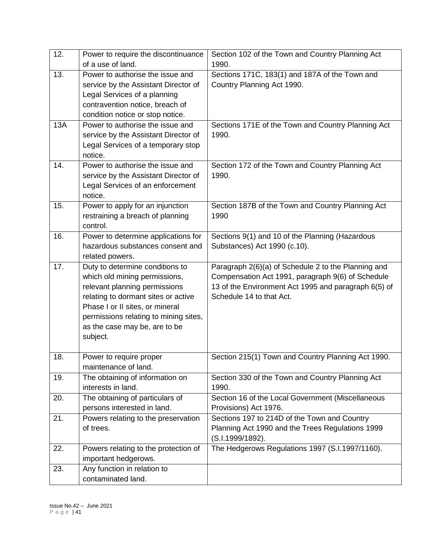| 12.        | Power to require the discontinuance<br>of a use of land.                                                                                                                                                                                                          | Section 102 of the Town and Country Planning Act<br>1990.                                                                                                                                    |
|------------|-------------------------------------------------------------------------------------------------------------------------------------------------------------------------------------------------------------------------------------------------------------------|----------------------------------------------------------------------------------------------------------------------------------------------------------------------------------------------|
| 13.        | Power to authorise the issue and<br>service by the Assistant Director of<br>Legal Services of a planning<br>contravention notice, breach of<br>condition notice or stop notice.                                                                                   | Sections 171C, 183(1) and 187A of the Town and<br>Country Planning Act 1990.                                                                                                                 |
| <b>13A</b> | Power to authorise the issue and<br>service by the Assistant Director of<br>Legal Services of a temporary stop<br>notice.                                                                                                                                         | Sections 171E of the Town and Country Planning Act<br>1990.                                                                                                                                  |
| 14.        | Power to authorise the issue and<br>service by the Assistant Director of<br>Legal Services of an enforcement<br>notice.                                                                                                                                           | Section 172 of the Town and Country Planning Act<br>1990.                                                                                                                                    |
| 15.        | Power to apply for an injunction<br>restraining a breach of planning<br>control.                                                                                                                                                                                  | Section 187B of the Town and Country Planning Act<br>1990                                                                                                                                    |
| 16.        | Power to determine applications for<br>hazardous substances consent and<br>related powers.                                                                                                                                                                        | Sections 9(1) and 10 of the Planning (Hazardous<br>Substances) Act 1990 (c.10).                                                                                                              |
| 17.        | Duty to determine conditions to<br>which old mining permissions,<br>relevant planning permissions<br>relating to dormant sites or active<br>Phase I or II sites, or mineral<br>permissions relating to mining sites,<br>as the case may be, are to be<br>subject. | Paragraph 2(6)(a) of Schedule 2 to the Planning and<br>Compensation Act 1991, paragraph 9(6) of Schedule<br>13 of the Environment Act 1995 and paragraph 6(5) of<br>Schedule 14 to that Act. |
| 18.        | Power to require proper<br>maintenance of land.                                                                                                                                                                                                                   | Section 215(1) Town and Country Planning Act 1990.                                                                                                                                           |
| 19.        | The obtaining of information on<br>interests in land.                                                                                                                                                                                                             | Section 330 of the Town and Country Planning Act<br>1990.                                                                                                                                    |
| 20.        | The obtaining of particulars of<br>persons interested in land.                                                                                                                                                                                                    | Section 16 of the Local Government (Miscellaneous<br>Provisions) Act 1976.                                                                                                                   |
| 21.        | Powers relating to the preservation<br>of trees.                                                                                                                                                                                                                  | Sections 197 to 214D of the Town and Country<br>Planning Act 1990 and the Trees Regulations 1999<br>(S.I.1999/1892).                                                                         |
| 22.        | Powers relating to the protection of<br>important hedgerows.                                                                                                                                                                                                      | The Hedgerows Regulations 1997 (S.I.1997/1160).                                                                                                                                              |
| 23.        | Any function in relation to<br>contaminated land.                                                                                                                                                                                                                 |                                                                                                                                                                                              |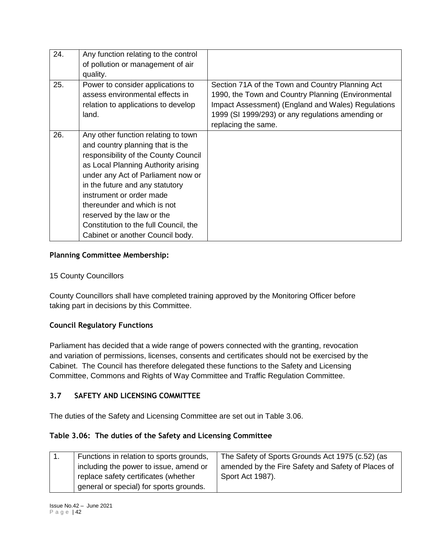| 24. | Any function relating to the control<br>of pollution or management of air<br>quality.                                                                                                                                                                                                                                                                                                                 |                                                                                                                                                                                                                                          |
|-----|-------------------------------------------------------------------------------------------------------------------------------------------------------------------------------------------------------------------------------------------------------------------------------------------------------------------------------------------------------------------------------------------------------|------------------------------------------------------------------------------------------------------------------------------------------------------------------------------------------------------------------------------------------|
| 25. | Power to consider applications to<br>assess environmental effects in<br>relation to applications to develop<br>land.                                                                                                                                                                                                                                                                                  | Section 71A of the Town and Country Planning Act<br>1990, the Town and Country Planning (Environmental<br>Impact Assessment) (England and Wales) Regulations<br>1999 (SI 1999/293) or any regulations amending or<br>replacing the same. |
| 26. | Any other function relating to town<br>and country planning that is the<br>responsibility of the County Council<br>as Local Planning Authority arising<br>under any Act of Parliament now or<br>in the future and any statutory<br>instrument or order made<br>thereunder and which is not<br>reserved by the law or the<br>Constitution to the full Council, the<br>Cabinet or another Council body. |                                                                                                                                                                                                                                          |

#### **Planning Committee Membership:**

#### 15 County Councillors

County Councillors shall have completed training approved by the Monitoring Officer before taking part in decisions by this Committee.

#### **Council Regulatory Functions**

Parliament has decided that a wide range of powers connected with the granting, revocation and variation of permissions, licenses, consents and certificates should not be exercised by the Cabinet. The Council has therefore delegated these functions to the Safety and Licensing Committee, Commons and Rights of Way Committee and Traffic Regulation Committee.

## **3.7 SAFETY AND LICENSING COMMITTEE**

The duties of the Safety and Licensing Committee are set out in Table 3.06.

#### **Table 3.06: The duties of the Safety and Licensing Committee**

| Functions in relation to sports grounds, | The Safety of Sports Grounds Act 1975 (c.52) (as   |
|------------------------------------------|----------------------------------------------------|
| including the power to issue, amend or   | amended by the Fire Safety and Safety of Places of |
| replace safety certificates (whether     | Sport Act 1987).                                   |
| general or special) for sports grounds.  |                                                    |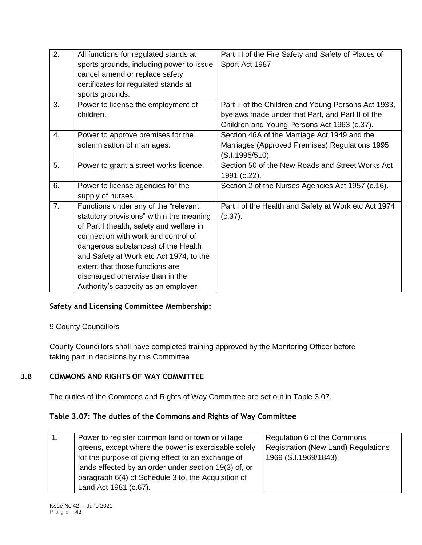| 2. | All functions for regulated stands at    | Part III of the Fire Safety and Safety of Places of  |
|----|------------------------------------------|------------------------------------------------------|
|    | sports grounds, including power to issue | Sport Act 1987.                                      |
|    | cancel amend or replace safety           |                                                      |
|    | certificates for regulated stands at     |                                                      |
|    | sports grounds.                          |                                                      |
| 3. | Power to license the employment of       | Part II of the Children and Young Persons Act 1933,  |
|    | children.                                | byelaws made under that Part, and Part II of the     |
|    |                                          | Children and Young Persons Act 1963 (c.37).          |
| 4. | Power to approve premises for the        | Section 46A of the Marriage Act 1949 and the         |
|    | solemnisation of marriages.              | Marriages (Approved Premises) Regulations 1995       |
|    |                                          | (S.I.1995/510).                                      |
| 5. | Power to grant a street works licence.   | Section 50 of the New Roads and Street Works Act     |
|    |                                          | 1991 (c.22).                                         |
| 6. | Power to license agencies for the        | Section 2 of the Nurses Agencies Act 1957 (c.16).    |
|    | supply of nurses.                        |                                                      |
| 7. | Functions under any of the "relevant     | Part I of the Health and Safety at Work etc Act 1974 |
|    | statutory provisions" within the meaning | (c.37).                                              |
|    | of Part I (health, safety and welfare in |                                                      |
|    | connection with work and control of      |                                                      |
|    | dangerous substances) of the Health      |                                                      |
|    | and Safety at Work etc Act 1974, to the  |                                                      |
|    | extent that those functions are          |                                                      |
|    | discharged otherwise than in the         |                                                      |
|    | Authority's capacity as an employer.     |                                                      |

## **Safety and Licensing Committee Membership:**

9 County Councillors

County Councillors shall have completed training approved by the Monitoring Officer before taking part in decisions by this Committee

# **3.8 COMMONS AND RIGHTS OF WAY COMMITTEE**

The duties of the Commons and Rights of Way Committee are set out in Table 3.07.

# **Table 3.07: The duties of the Commons and Rights of Way Committee**

| Power to register common land or town or village      | Regulation 6 of the Commons                |
|-------------------------------------------------------|--------------------------------------------|
| greens, except where the power is exercisable solely  | <b>Registration (New Land) Regulations</b> |
| for the purpose of giving effect to an exchange of    | 1969 (S.I.1969/1843).                      |
| lands effected by an order under section 19(3) of, or |                                            |
| paragraph 6(4) of Schedule 3 to, the Acquisition of   |                                            |
| Land Act 1981 (c.67).                                 |                                            |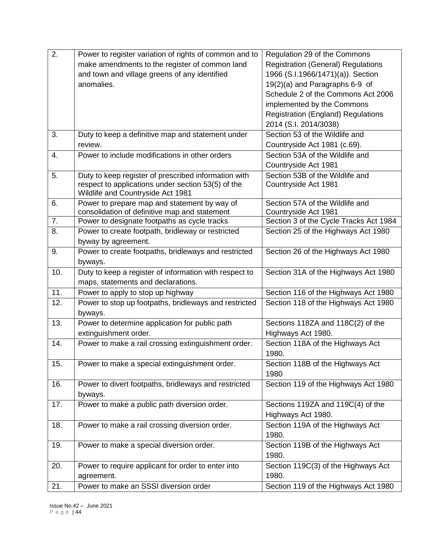| 2.  | Power to register variation of rights of common and to                                        | Regulation 29 of the Commons                                   |
|-----|-----------------------------------------------------------------------------------------------|----------------------------------------------------------------|
|     | make amendments to the register of common land                                                | <b>Registration (General) Regulations</b>                      |
|     | and town and village greens of any identified                                                 | 1966 (S.I.1966/1471)(a)). Section                              |
|     | anomalies.                                                                                    | 19(2)(a) and Paragraphs 6-9 of                                 |
|     |                                                                                               | Schedule 2 of the Commons Act 2006                             |
|     |                                                                                               | implemented by the Commons                                     |
|     |                                                                                               | <b>Registration (England) Regulations</b>                      |
|     |                                                                                               | 2014 (S.I. 2014/3038)                                          |
| 3.  | Duty to keep a definitive map and statement under                                             | Section 53 of the Wildlife and                                 |
|     | review.                                                                                       | Countryside Act 1981 (c.69).                                   |
| 4.  | Power to include modifications in other orders                                                | Section 53A of the Wildlife and                                |
|     |                                                                                               | Countryside Act 1981                                           |
| 5.  | Duty to keep register of prescribed information with                                          | Section 53B of the Wildlife and                                |
|     | respect to applications under section 53(5) of the                                            | Countryside Act 1981                                           |
|     | Wildlife and Countryside Act 1981                                                             |                                                                |
| 6.  | Power to prepare map and statement by way of                                                  | Section 57A of the Wildlife and                                |
| 7.  | consolidation of definitive map and statement<br>Power to designate footpaths as cycle tracks | Countryside Act 1981<br>Section 3 of the Cycle Tracks Act 1984 |
| 8.  |                                                                                               |                                                                |
|     | Power to create footpath, bridleway or restricted<br>byway by agreement.                      | Section 25 of the Highways Act 1980                            |
| 9.  | Power to create footpaths, bridleways and restricted                                          | Section 26 of the Highways Act 1980                            |
|     |                                                                                               |                                                                |
| 10. | byways.<br>Duty to keep a register of information with respect to                             | Section 31A of the Highways Act 1980                           |
|     | maps, statements and declarations.                                                            |                                                                |
| 11. | Power to apply to stop up highway                                                             | Section 116 of the Highways Act 1980                           |
| 12. | Power to stop up footpaths, bridleways and restricted                                         | Section 118 of the Highways Act 1980                           |
|     | byways.                                                                                       |                                                                |
| 13. | Power to determine application for public path                                                | Sections 118ZA and 118C(2) of the                              |
|     | extinguishment order.                                                                         | Highways Act 1980.                                             |
| 14. | Power to make a rail crossing extinguishment order.                                           | Section 118A of the Highways Act                               |
|     |                                                                                               | 1980.                                                          |
| 15. | Power to make a special extinguishment order.                                                 | Section 118B of the Highways Act                               |
|     |                                                                                               | 1980                                                           |
| 16. | Power to divert footpaths, bridleways and restricted                                          | Section 119 of the Highways Act 1980                           |
|     | byways.                                                                                       |                                                                |
| 17. | Power to make a public path diversion order.                                                  | Sections 119ZA and 119C(4) of the                              |
|     |                                                                                               | Highways Act 1980.                                             |
| 18. | Power to make a rail crossing diversion order.                                                | Section 119A of the Highways Act                               |
|     |                                                                                               | 1980.                                                          |
| 19. | Power to make a special diversion order.                                                      | Section 119B of the Highways Act                               |
|     |                                                                                               | 1980.                                                          |
| 20. | Power to require applicant for order to enter into                                            | Section 119C(3) of the Highways Act                            |
|     | agreement.                                                                                    | 1980.                                                          |
| 21. | Power to make an SSSI diversion order                                                         | Section 119 of the Highways Act 1980                           |
|     |                                                                                               |                                                                |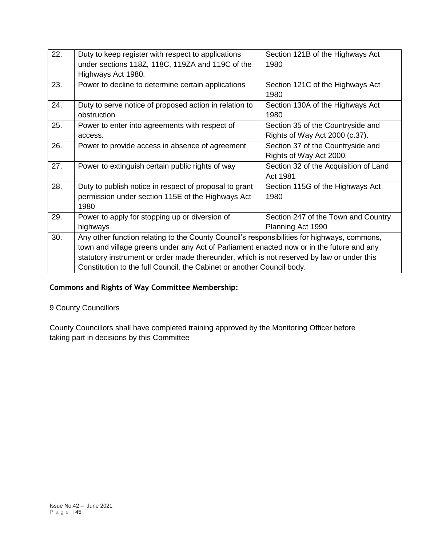| 22. | Duty to keep register with respect to applications                                          | Section 121B of the Highways Act      |
|-----|---------------------------------------------------------------------------------------------|---------------------------------------|
|     | under sections 118Z, 118C, 119ZA and 119C of the                                            | 1980                                  |
|     | Highways Act 1980.                                                                          |                                       |
| 23. | Power to decline to determine certain applications                                          | Section 121C of the Highways Act      |
|     |                                                                                             | 1980                                  |
| 24. | Duty to serve notice of proposed action in relation to                                      | Section 130A of the Highways Act      |
|     | obstruction                                                                                 | 1980                                  |
| 25. | Power to enter into agreements with respect of                                              | Section 35 of the Countryside and     |
|     | access.                                                                                     | Rights of Way Act 2000 (c.37).        |
| 26. | Power to provide access in absence of agreement                                             | Section 37 of the Countryside and     |
|     |                                                                                             | Rights of Way Act 2000.               |
| 27. | Power to extinguish certain public rights of way                                            | Section 32 of the Acquisition of Land |
|     |                                                                                             | Act 1981                              |
| 28. | Duty to publish notice in respect of proposal to grant                                      | Section 115G of the Highways Act      |
|     | permission under section 115E of the Highways Act                                           | 1980                                  |
|     | 1980                                                                                        |                                       |
| 29. | Power to apply for stopping up or diversion of                                              | Section 247 of the Town and Country   |
|     | highways                                                                                    | Planning Act 1990                     |
| 30. | Any other function relating to the County Council's responsibilities for highways, commons, |                                       |
|     | town and village greens under any Act of Parliament enacted now or in the future and any    |                                       |
|     | statutory instrument or order made thereunder, which is not reserved by law or under this   |                                       |
|     | Constitution to the full Council, the Cabinet or another Council body.                      |                                       |

## **Commons and Rights of Way Committee Membership:**

# 9 County Councillors

County Councillors shall have completed training approved by the Monitoring Officer before taking part in decisions by this Committee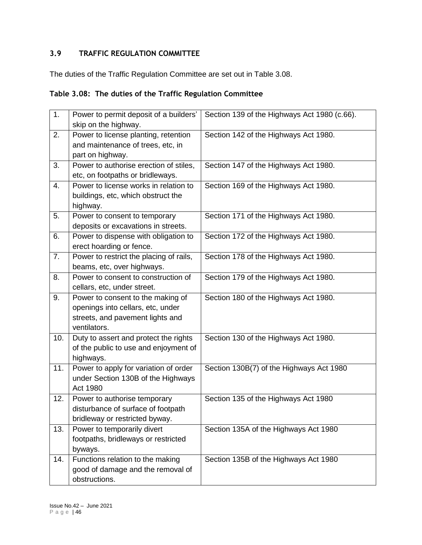# **3.9 TRAFFIC REGULATION COMMITTEE**

The duties of the Traffic Regulation Committee are set out in Table 3.08.

## **Table 3.08: The duties of the Traffic Regulation Committee**

| 1.  | Power to permit deposit of a builders'  | Section 139 of the Highways Act 1980 (c.66). |
|-----|-----------------------------------------|----------------------------------------------|
|     | skip on the highway.                    |                                              |
| 2.  | Power to license planting, retention    | Section 142 of the Highways Act 1980.        |
|     | and maintenance of trees, etc, in       |                                              |
|     | part on highway.                        |                                              |
| 3.  | Power to authorise erection of stiles,  | Section 147 of the Highways Act 1980.        |
|     | etc, on footpaths or bridleways.        |                                              |
| 4.  | Power to license works in relation to   | Section 169 of the Highways Act 1980.        |
|     | buildings, etc, which obstruct the      |                                              |
|     | highway.                                |                                              |
| 5.  | Power to consent to temporary           | Section 171 of the Highways Act 1980.        |
|     | deposits or excavations in streets.     |                                              |
| 6.  | Power to dispense with obligation to    | Section 172 of the Highways Act 1980.        |
|     | erect hoarding or fence.                |                                              |
| 7.  | Power to restrict the placing of rails, | Section 178 of the Highways Act 1980.        |
|     | beams, etc, over highways.              |                                              |
| 8.  | Power to consent to construction of     | Section 179 of the Highways Act 1980.        |
|     | cellars, etc, under street.             |                                              |
| 9.  | Power to consent to the making of       | Section 180 of the Highways Act 1980.        |
|     | openings into cellars, etc, under       |                                              |
|     | streets, and pavement lights and        |                                              |
|     | ventilators.                            |                                              |
| 10. | Duty to assert and protect the rights   | Section 130 of the Highways Act 1980.        |
|     | of the public to use and enjoyment of   |                                              |
|     | highways.                               |                                              |
| 11. | Power to apply for variation of order   | Section 130B(7) of the Highways Act 1980     |
|     | under Section 130B of the Highways      |                                              |
|     | <b>Act 1980</b>                         |                                              |
| 12. | Power to authorise temporary            | Section 135 of the Highways Act 1980         |
|     | disturbance of surface of footpath      |                                              |
|     | bridleway or restricted byway.          |                                              |
| 13. | Power to temporarily divert             | Section 135A of the Highways Act 1980        |
|     | footpaths, bridleways or restricted     |                                              |
|     | byways.                                 |                                              |
| 14. | Functions relation to the making        | Section 135B of the Highways Act 1980        |
|     | good of damage and the removal of       |                                              |
|     | obstructions.                           |                                              |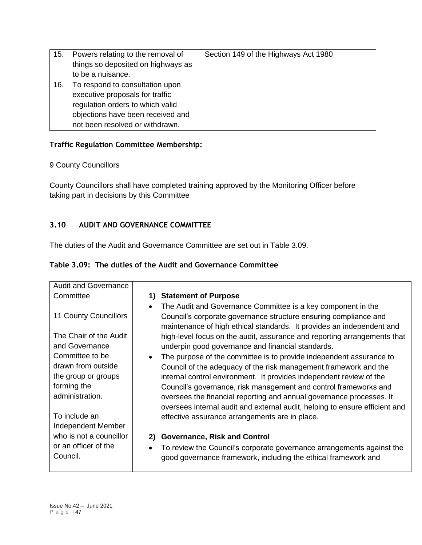| 15. | Powers relating to the removal of  | Section 149 of the Highways Act 1980 |
|-----|------------------------------------|--------------------------------------|
|     | things so deposited on highways as |                                      |
|     | to be a nuisance.                  |                                      |
| 16. | To respond to consultation upon    |                                      |
|     | executive proposals for traffic    |                                      |
|     | regulation orders to which valid   |                                      |
|     | objections have been received and  |                                      |
|     | not been resolved or withdrawn.    |                                      |

## **Traffic Regulation Committee Membership:**

## 9 County Councillors

County Councillors shall have completed training approved by the Monitoring Officer before taking part in decisions by this Committee

# **3.10 AUDIT AND GOVERNANCE COMMITTEE**

The duties of the Audit and Governance Committee are set out in Table 3.09.

|  | Table 3.09: The duties of the Audit and Governance Committee |  |
|--|--------------------------------------------------------------|--|
|--|--------------------------------------------------------------|--|

| <b>Audit and Governance</b>                                                                                                           |                                                                                                                                                                                                                                                                                                                                                                                                                                                                                             |
|---------------------------------------------------------------------------------------------------------------------------------------|---------------------------------------------------------------------------------------------------------------------------------------------------------------------------------------------------------------------------------------------------------------------------------------------------------------------------------------------------------------------------------------------------------------------------------------------------------------------------------------------|
| Committee                                                                                                                             | <b>Statement of Purpose</b>                                                                                                                                                                                                                                                                                                                                                                                                                                                                 |
| 11 County Councillors<br>The Chair of the Audit                                                                                       | The Audit and Governance Committee is a key component in the<br>$\bullet$<br>Council's corporate governance structure ensuring compliance and<br>maintenance of high ethical standards. It provides an independent and<br>high-level focus on the audit, assurance and reporting arrangements that                                                                                                                                                                                          |
| and Governance                                                                                                                        | underpin good governance and financial standards.                                                                                                                                                                                                                                                                                                                                                                                                                                           |
| Committee to be<br>drawn from outside<br>the group or groups<br>forming the<br>administration.<br>To include an<br>Independent Member | The purpose of the committee is to provide independent assurance to<br>Council of the adequacy of the risk management framework and the<br>internal control environment. It provides independent review of the<br>Council's governance, risk management and control frameworks and<br>oversees the financial reporting and annual governance processes. It<br>oversees internal audit and external audit, helping to ensure efficient and<br>effective assurance arrangements are in place. |
| who is not a councillor<br>or an officer of the<br>Council.                                                                           | <b>Governance, Risk and Control</b><br>2)<br>To review the Council's corporate governance arrangements against the<br>$\bullet$<br>good governance framework, including the ethical framework and                                                                                                                                                                                                                                                                                           |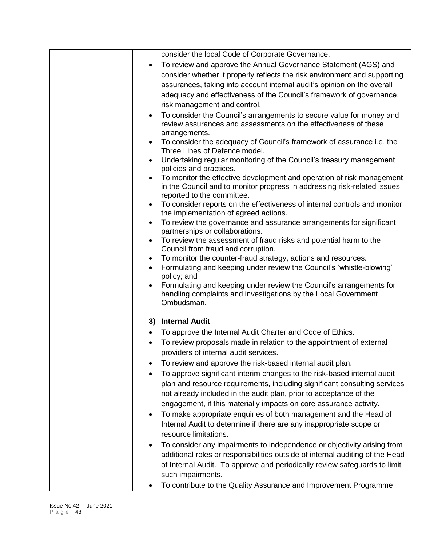|           | consider the local Code of Corporate Governance.                                                                                                                                                                                                                                                 |
|-----------|--------------------------------------------------------------------------------------------------------------------------------------------------------------------------------------------------------------------------------------------------------------------------------------------------|
|           | To review and approve the Annual Governance Statement (AGS) and                                                                                                                                                                                                                                  |
|           | consider whether it properly reflects the risk environment and supporting                                                                                                                                                                                                                        |
|           | assurances, taking into account internal audit's opinion on the overall                                                                                                                                                                                                                          |
|           | adequacy and effectiveness of the Council's framework of governance,                                                                                                                                                                                                                             |
|           | risk management and control.                                                                                                                                                                                                                                                                     |
|           | To consider the Council's arrangements to secure value for money and<br>review assurances and assessments on the effectiveness of these<br>arrangements.                                                                                                                                         |
|           | To consider the adequacy of Council's framework of assurance i.e. the<br>Three Lines of Defence model.                                                                                                                                                                                           |
|           | Undertaking regular monitoring of the Council's treasury management<br>policies and practices.                                                                                                                                                                                                   |
|           | To monitor the effective development and operation of risk management<br>in the Council and to monitor progress in addressing risk-related issues<br>reported to the committee.                                                                                                                  |
|           | To consider reports on the effectiveness of internal controls and monitor<br>the implementation of agreed actions.                                                                                                                                                                               |
| ٠         | To review the governance and assurance arrangements for significant<br>partnerships or collaborations.                                                                                                                                                                                           |
| $\bullet$ | To review the assessment of fraud risks and potential harm to the<br>Council from fraud and corruption.                                                                                                                                                                                          |
| ٠         | To monitor the counter-fraud strategy, actions and resources.                                                                                                                                                                                                                                    |
| $\bullet$ | Formulating and keeping under review the Council's 'whistle-blowing'                                                                                                                                                                                                                             |
|           | policy; and                                                                                                                                                                                                                                                                                      |
| $\bullet$ | Formulating and keeping under review the Council's arrangements for<br>handling complaints and investigations by the Local Government<br>Ombudsman.                                                                                                                                              |
|           | 3) Internal Audit                                                                                                                                                                                                                                                                                |
|           | To approve the Internal Audit Charter and Code of Ethics.                                                                                                                                                                                                                                        |
|           | To review proposals made in relation to the appointment of external                                                                                                                                                                                                                              |
|           | providers of internal audit services.                                                                                                                                                                                                                                                            |
|           | To review and approve the risk-based internal audit plan.                                                                                                                                                                                                                                        |
|           | To approve significant interim changes to the risk-based internal audit<br>plan and resource requirements, including significant consulting services<br>not already included in the audit plan, prior to acceptance of the<br>engagement, if this materially impacts on core assurance activity. |
| ٠         | To make appropriate enquiries of both management and the Head of<br>Internal Audit to determine if there are any inappropriate scope or<br>resource limitations.                                                                                                                                 |
|           | To consider any impairments to independence or objectivity arising from<br>additional roles or responsibilities outside of internal auditing of the Head<br>of Internal Audit. To approve and periodically review safeguards to limit<br>such impairments.                                       |
|           | To contribute to the Quality Assurance and Improvement Programme                                                                                                                                                                                                                                 |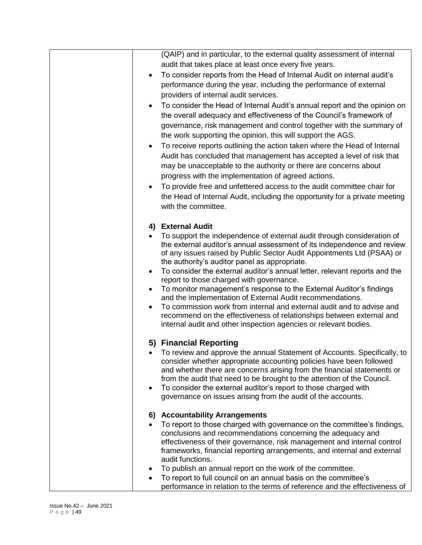|           | (QAIP) and in particular, to the external quality assessment of internal                                                                                                                                                  |
|-----------|---------------------------------------------------------------------------------------------------------------------------------------------------------------------------------------------------------------------------|
|           | audit that takes place at least once every five years.                                                                                                                                                                    |
| $\bullet$ | To consider reports from the Head of Internal Audit on internal audit's                                                                                                                                                   |
|           | performance during the year, including the performance of external                                                                                                                                                        |
|           | providers of internal audit services.                                                                                                                                                                                     |
|           | To consider the Head of Internal Audit's annual report and the opinion on<br>the overall adequacy and effectiveness of the Council's framework of<br>governance, risk management and control together with the summary of |
|           | the work supporting the opinion, this will support the AGS.                                                                                                                                                               |
|           | To receive reports outlining the action taken where the Head of Internal                                                                                                                                                  |
|           | Audit has concluded that management has accepted a level of risk that<br>may be unacceptable to the authority or there are concerns about                                                                                 |
|           | progress with the implementation of agreed actions.                                                                                                                                                                       |
| $\bullet$ | To provide free and unfettered access to the audit committee chair for                                                                                                                                                    |
|           | the Head of Internal Audit, including the opportunity for a private meeting<br>with the committee.                                                                                                                        |
|           | 4) External Audit                                                                                                                                                                                                         |
|           | To support the independence of external audit through consideration of                                                                                                                                                    |
|           | the external auditor's annual assessment of its independence and review<br>of any issues raised by Public Sector Audit Appointments Ltd (PSAA) or<br>the authority's auditor panel as appropriate.                        |
| $\bullet$ | To consider the external auditor's annual letter, relevant reports and the<br>report to those charged with governance.                                                                                                    |
| $\bullet$ | To monitor management's response to the External Auditor's findings<br>and the implementation of External Audit recommendations.                                                                                          |
|           | To commission work from internal and external audit and to advise and<br>recommend on the effectiveness of relationships between external and<br>internal audit and other inspection agencies or relevant bodies.         |
|           | 5) Financial Reporting                                                                                                                                                                                                    |
|           | To review and approve the annual Statement of Accounts. Specifically, to<br>consider whether appropriate accounting policies have been followed                                                                           |
|           | and whether there are concerns arising from the financial statements or                                                                                                                                                   |
| $\bullet$ | from the audit that need to be brought to the attention of the Council.<br>To consider the external auditor's report to those charged with                                                                                |
|           | governance on issues arising from the audit of the accounts.                                                                                                                                                              |
|           | 6) Accountability Arrangements                                                                                                                                                                                            |
|           | To report to those charged with governance on the committee's findings,                                                                                                                                                   |
|           | conclusions and recommendations concerning the adequacy and                                                                                                                                                               |
|           | effectiveness of their governance, risk management and internal control<br>frameworks, financial reporting arrangements, and internal and external                                                                        |
|           | audit functions.                                                                                                                                                                                                          |
|           | To publish an annual report on the work of the committee.                                                                                                                                                                 |
|           | To report to full council on an annual basis on the committee's                                                                                                                                                           |
|           | performance in relation to the terms of reference and the effectiveness of                                                                                                                                                |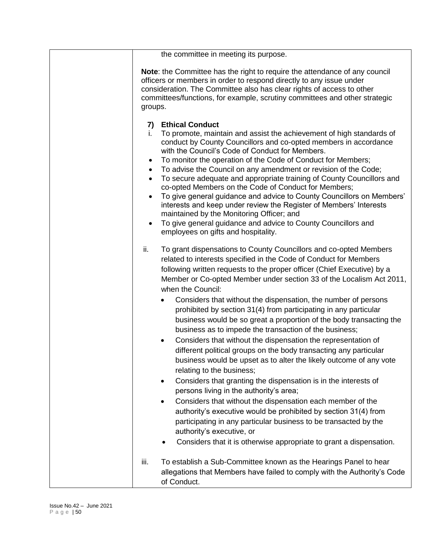| the committee in meeting its purpose.                                                                                                                                                                                                                                                                                                                                                                                                                                                                                                                                                                                                                                                                                                                                                                                                                                                                                                                                                                                                                                                                                                                                                                                                                                                                    |
|----------------------------------------------------------------------------------------------------------------------------------------------------------------------------------------------------------------------------------------------------------------------------------------------------------------------------------------------------------------------------------------------------------------------------------------------------------------------------------------------------------------------------------------------------------------------------------------------------------------------------------------------------------------------------------------------------------------------------------------------------------------------------------------------------------------------------------------------------------------------------------------------------------------------------------------------------------------------------------------------------------------------------------------------------------------------------------------------------------------------------------------------------------------------------------------------------------------------------------------------------------------------------------------------------------|
| Note: the Committee has the right to require the attendance of any council<br>officers or members in order to respond directly to any issue under<br>consideration. The Committee also has clear rights of access to other<br>committees/functions, for example, scrutiny committees and other strategic<br>groups.                                                                                                                                                                                                                                                                                                                                                                                                                                                                                                                                                                                                                                                                                                                                                                                                                                                                                                                                                                                      |
| <b>Ethical Conduct</b><br>7)<br>To promote, maintain and assist the achievement of high standards of<br>i.<br>conduct by County Councillors and co-opted members in accordance<br>with the Council's Code of Conduct for Members.<br>To monitor the operation of the Code of Conduct for Members;<br>$\bullet$<br>To advise the Council on any amendment or revision of the Code;<br>$\bullet$<br>To secure adequate and appropriate training of County Councillors and<br>$\bullet$<br>co-opted Members on the Code of Conduct for Members;<br>To give general guidance and advice to County Councillors on Members'<br>$\bullet$<br>interests and keep under review the Register of Members' Interests<br>maintained by the Monitoring Officer; and<br>To give general guidance and advice to County Councillors and<br>$\bullet$<br>employees on gifts and hospitality.                                                                                                                                                                                                                                                                                                                                                                                                                               |
| ii.<br>To grant dispensations to County Councillors and co-opted Members<br>related to interests specified in the Code of Conduct for Members<br>following written requests to the proper officer (Chief Executive) by a<br>Member or Co-opted Member under section 33 of the Localism Act 2011,<br>when the Council:<br>Considers that without the dispensation, the number of persons<br>$\bullet$<br>prohibited by section 31(4) from participating in any particular<br>business would be so great a proportion of the body transacting the<br>business as to impede the transaction of the business;<br>Considers that without the dispensation the representation of<br>$\bullet$<br>different political groups on the body transacting any particular<br>business would be upset as to alter the likely outcome of any vote<br>relating to the business;<br>Considers that granting the dispensation is in the interests of<br>٠<br>persons living in the authority's area;<br>Considers that without the dispensation each member of the<br>$\bullet$<br>authority's executive would be prohibited by section 31(4) from<br>participating in any particular business to be transacted by the<br>authority's executive, or<br>Considers that it is otherwise appropriate to grant a dispensation. |
| iii.<br>To establish a Sub-Committee known as the Hearings Panel to hear<br>allegations that Members have failed to comply with the Authority's Code<br>of Conduct.                                                                                                                                                                                                                                                                                                                                                                                                                                                                                                                                                                                                                                                                                                                                                                                                                                                                                                                                                                                                                                                                                                                                      |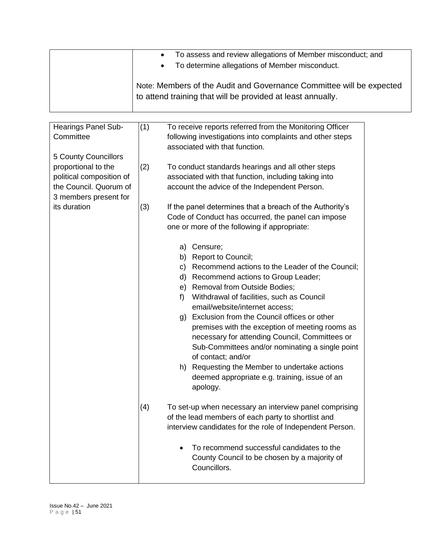| To assess and review allegations of Member misconduct; and<br>$\bullet$<br>• To determine allegations of Member misconduct.         |
|-------------------------------------------------------------------------------------------------------------------------------------|
| Note: Members of the Audit and Governance Committee will be expected<br>to attend training that will be provided at least annually. |

| Hearings Panel Sub-<br>Committee<br>5 County Councillors                                           | (1) | To receive reports referred from the Monitoring Officer<br>following investigations into complaints and other steps<br>associated with that function.                                                                                                                                                                                                                                                                                                                                                                                                                                                        |  |
|----------------------------------------------------------------------------------------------------|-----|--------------------------------------------------------------------------------------------------------------------------------------------------------------------------------------------------------------------------------------------------------------------------------------------------------------------------------------------------------------------------------------------------------------------------------------------------------------------------------------------------------------------------------------------------------------------------------------------------------------|--|
| proportional to the<br>political composition of<br>the Council. Quorum of<br>3 members present for | (2) | To conduct standards hearings and all other steps<br>associated with that function, including taking into<br>account the advice of the Independent Person.                                                                                                                                                                                                                                                                                                                                                                                                                                                   |  |
| its duration                                                                                       | (3) | If the panel determines that a breach of the Authority's<br>Code of Conduct has occurred, the panel can impose<br>one or more of the following if appropriate:                                                                                                                                                                                                                                                                                                                                                                                                                                               |  |
|                                                                                                    |     | Censure;<br>a)<br>b) Report to Council;<br>c) Recommend actions to the Leader of the Council;<br>d) Recommend actions to Group Leader;<br>e) Removal from Outside Bodies;<br>Withdrawal of facilities, such as Council<br>f)<br>email/website/internet access;<br>g) Exclusion from the Council offices or other<br>premises with the exception of meeting rooms as<br>necessary for attending Council, Committees or<br>Sub-Committees and/or nominating a single point<br>of contact; and/or<br>h) Requesting the Member to undertake actions<br>deemed appropriate e.g. training, issue of an<br>apology. |  |
|                                                                                                    | (4) | To set-up when necessary an interview panel comprising<br>of the lead members of each party to shortlist and<br>interview candidates for the role of Independent Person.                                                                                                                                                                                                                                                                                                                                                                                                                                     |  |
|                                                                                                    |     | To recommend successful candidates to the<br>County Council to be chosen by a majority of<br>Councillors.                                                                                                                                                                                                                                                                                                                                                                                                                                                                                                    |  |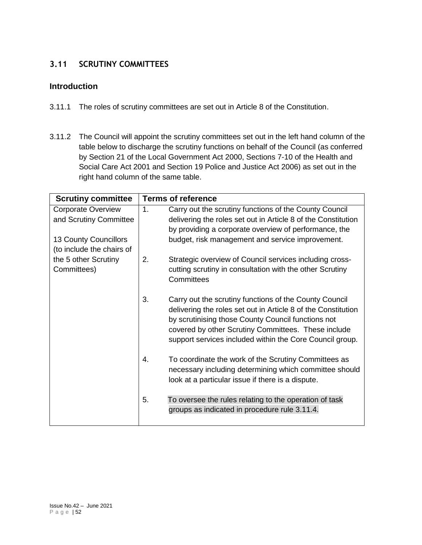# **3.11 SCRUTINY COMMITTEES**

## **Introduction**

- 3.11.1 The roles of scrutiny committees are set out in Article 8 of the Constitution.
- 3.11.2 The Council will appoint the scrutiny committees set out in the left hand column of the table below to discharge the scrutiny functions on behalf of the Council (as conferred by Section 21 of the Local Government Act 2000, Sections 7-10 of the Health and Social Care Act 2001 and Section 19 Police and Justice Act 2006) as set out in the right hand column of the same table.

| <b>Scrutiny committee</b>    |    | <b>Terms of reference</b>                                              |
|------------------------------|----|------------------------------------------------------------------------|
| <b>Corporate Overview</b>    | 1. | Carry out the scrutiny functions of the County Council                 |
| and Scrutiny Committee       |    | delivering the roles set out in Article 8 of the Constitution          |
|                              |    | by providing a corporate overview of performance, the                  |
| <b>13 County Councillors</b> |    | budget, risk management and service improvement.                       |
| (to include the chairs of    |    |                                                                        |
| the 5 other Scrutiny         | 2. | Strategic overview of Council services including cross-                |
| Committees)                  |    | cutting scrutiny in consultation with the other Scrutiny<br>Committees |
|                              | 3. | Carry out the scrutiny functions of the County Council                 |
|                              |    | delivering the roles set out in Article 8 of the Constitution          |
|                              |    | by scrutinising those County Council functions not                     |
|                              |    | covered by other Scrutiny Committees. These include                    |
|                              |    | support services included within the Core Council group.               |
|                              | 4. | To coordinate the work of the Scrutiny Committees as                   |
|                              |    | necessary including determining which committee should                 |
|                              |    | look at a particular issue if there is a dispute.                      |
|                              | 5. | To oversee the rules relating to the operation of task                 |
|                              |    | groups as indicated in procedure rule 3.11.4.                          |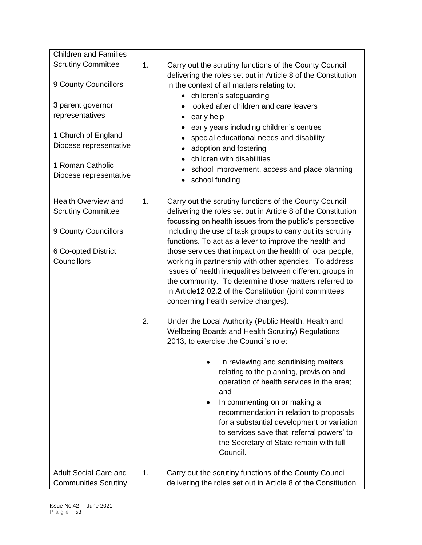| <b>Scrutiny Committee</b><br>1.<br>Carry out the scrutiny functions of the County Council<br>delivering the roles set out in Article 8 of the Constitution<br>9 County Councillors<br>in the context of all matters relating to:<br>• children's safeguarding<br>3 parent governor<br>looked after children and care leavers<br>$\bullet$<br>representatives<br>early help<br>$\bullet$<br>early years including children's centres<br>1 Church of England<br>special educational needs and disability<br>$\bullet$<br>Diocese representative<br>adoption and fostering<br>$\bullet$<br>children with disabilities<br>$\bullet$<br>1 Roman Catholic<br>school improvement, access and place planning<br>Diocese representative<br>school funding<br><b>Health Overview and</b><br>Carry out the scrutiny functions of the County Council<br>1.<br>delivering the roles set out in Article 8 of the Constitution<br><b>Scrutiny Committee</b><br>focussing on health issues from the public's perspective<br>9 County Councillors<br>including the use of task groups to carry out its scrutiny<br>functions. To act as a lever to improve the health and<br>those services that impact on the health of local people,<br>6 Co-opted District<br>Councillors<br>working in partnership with other agencies. To address<br>issues of health inequalities between different groups in<br>the community. To determine those matters referred to<br>in Article12.02.2 of the Constitution (joint committees<br>concerning health service changes).<br>2.<br>Under the Local Authority (Public Health, Health and<br>Wellbeing Boards and Health Scrutiny) Regulations<br>2013, to exercise the Council's role:<br>in reviewing and scrutinising matters<br>relating to the planning, provision and<br>operation of health services in the area;<br>and<br>In commenting on or making a<br>recommendation in relation to proposals<br>for a substantial development or variation<br>to services save that 'referral powers' to | <b>Children and Families</b> |                                                               |
|--------------------------------------------------------------------------------------------------------------------------------------------------------------------------------------------------------------------------------------------------------------------------------------------------------------------------------------------------------------------------------------------------------------------------------------------------------------------------------------------------------------------------------------------------------------------------------------------------------------------------------------------------------------------------------------------------------------------------------------------------------------------------------------------------------------------------------------------------------------------------------------------------------------------------------------------------------------------------------------------------------------------------------------------------------------------------------------------------------------------------------------------------------------------------------------------------------------------------------------------------------------------------------------------------------------------------------------------------------------------------------------------------------------------------------------------------------------------------------------------------------------------------------------------------------------------------------------------------------------------------------------------------------------------------------------------------------------------------------------------------------------------------------------------------------------------------------------------------------------------------------------------------------------------------------------------------------------------------------------------------------------------------|------------------------------|---------------------------------------------------------------|
|                                                                                                                                                                                                                                                                                                                                                                                                                                                                                                                                                                                                                                                                                                                                                                                                                                                                                                                                                                                                                                                                                                                                                                                                                                                                                                                                                                                                                                                                                                                                                                                                                                                                                                                                                                                                                                                                                                                                                                                                                          |                              |                                                               |
|                                                                                                                                                                                                                                                                                                                                                                                                                                                                                                                                                                                                                                                                                                                                                                                                                                                                                                                                                                                                                                                                                                                                                                                                                                                                                                                                                                                                                                                                                                                                                                                                                                                                                                                                                                                                                                                                                                                                                                                                                          |                              |                                                               |
|                                                                                                                                                                                                                                                                                                                                                                                                                                                                                                                                                                                                                                                                                                                                                                                                                                                                                                                                                                                                                                                                                                                                                                                                                                                                                                                                                                                                                                                                                                                                                                                                                                                                                                                                                                                                                                                                                                                                                                                                                          |                              |                                                               |
|                                                                                                                                                                                                                                                                                                                                                                                                                                                                                                                                                                                                                                                                                                                                                                                                                                                                                                                                                                                                                                                                                                                                                                                                                                                                                                                                                                                                                                                                                                                                                                                                                                                                                                                                                                                                                                                                                                                                                                                                                          |                              |                                                               |
|                                                                                                                                                                                                                                                                                                                                                                                                                                                                                                                                                                                                                                                                                                                                                                                                                                                                                                                                                                                                                                                                                                                                                                                                                                                                                                                                                                                                                                                                                                                                                                                                                                                                                                                                                                                                                                                                                                                                                                                                                          |                              |                                                               |
|                                                                                                                                                                                                                                                                                                                                                                                                                                                                                                                                                                                                                                                                                                                                                                                                                                                                                                                                                                                                                                                                                                                                                                                                                                                                                                                                                                                                                                                                                                                                                                                                                                                                                                                                                                                                                                                                                                                                                                                                                          |                              |                                                               |
|                                                                                                                                                                                                                                                                                                                                                                                                                                                                                                                                                                                                                                                                                                                                                                                                                                                                                                                                                                                                                                                                                                                                                                                                                                                                                                                                                                                                                                                                                                                                                                                                                                                                                                                                                                                                                                                                                                                                                                                                                          |                              |                                                               |
|                                                                                                                                                                                                                                                                                                                                                                                                                                                                                                                                                                                                                                                                                                                                                                                                                                                                                                                                                                                                                                                                                                                                                                                                                                                                                                                                                                                                                                                                                                                                                                                                                                                                                                                                                                                                                                                                                                                                                                                                                          |                              |                                                               |
|                                                                                                                                                                                                                                                                                                                                                                                                                                                                                                                                                                                                                                                                                                                                                                                                                                                                                                                                                                                                                                                                                                                                                                                                                                                                                                                                                                                                                                                                                                                                                                                                                                                                                                                                                                                                                                                                                                                                                                                                                          |                              |                                                               |
|                                                                                                                                                                                                                                                                                                                                                                                                                                                                                                                                                                                                                                                                                                                                                                                                                                                                                                                                                                                                                                                                                                                                                                                                                                                                                                                                                                                                                                                                                                                                                                                                                                                                                                                                                                                                                                                                                                                                                                                                                          |                              |                                                               |
|                                                                                                                                                                                                                                                                                                                                                                                                                                                                                                                                                                                                                                                                                                                                                                                                                                                                                                                                                                                                                                                                                                                                                                                                                                                                                                                                                                                                                                                                                                                                                                                                                                                                                                                                                                                                                                                                                                                                                                                                                          |                              |                                                               |
|                                                                                                                                                                                                                                                                                                                                                                                                                                                                                                                                                                                                                                                                                                                                                                                                                                                                                                                                                                                                                                                                                                                                                                                                                                                                                                                                                                                                                                                                                                                                                                                                                                                                                                                                                                                                                                                                                                                                                                                                                          |                              |                                                               |
|                                                                                                                                                                                                                                                                                                                                                                                                                                                                                                                                                                                                                                                                                                                                                                                                                                                                                                                                                                                                                                                                                                                                                                                                                                                                                                                                                                                                                                                                                                                                                                                                                                                                                                                                                                                                                                                                                                                                                                                                                          |                              |                                                               |
|                                                                                                                                                                                                                                                                                                                                                                                                                                                                                                                                                                                                                                                                                                                                                                                                                                                                                                                                                                                                                                                                                                                                                                                                                                                                                                                                                                                                                                                                                                                                                                                                                                                                                                                                                                                                                                                                                                                                                                                                                          |                              |                                                               |
|                                                                                                                                                                                                                                                                                                                                                                                                                                                                                                                                                                                                                                                                                                                                                                                                                                                                                                                                                                                                                                                                                                                                                                                                                                                                                                                                                                                                                                                                                                                                                                                                                                                                                                                                                                                                                                                                                                                                                                                                                          |                              |                                                               |
|                                                                                                                                                                                                                                                                                                                                                                                                                                                                                                                                                                                                                                                                                                                                                                                                                                                                                                                                                                                                                                                                                                                                                                                                                                                                                                                                                                                                                                                                                                                                                                                                                                                                                                                                                                                                                                                                                                                                                                                                                          |                              |                                                               |
|                                                                                                                                                                                                                                                                                                                                                                                                                                                                                                                                                                                                                                                                                                                                                                                                                                                                                                                                                                                                                                                                                                                                                                                                                                                                                                                                                                                                                                                                                                                                                                                                                                                                                                                                                                                                                                                                                                                                                                                                                          |                              |                                                               |
|                                                                                                                                                                                                                                                                                                                                                                                                                                                                                                                                                                                                                                                                                                                                                                                                                                                                                                                                                                                                                                                                                                                                                                                                                                                                                                                                                                                                                                                                                                                                                                                                                                                                                                                                                                                                                                                                                                                                                                                                                          |                              |                                                               |
|                                                                                                                                                                                                                                                                                                                                                                                                                                                                                                                                                                                                                                                                                                                                                                                                                                                                                                                                                                                                                                                                                                                                                                                                                                                                                                                                                                                                                                                                                                                                                                                                                                                                                                                                                                                                                                                                                                                                                                                                                          |                              |                                                               |
|                                                                                                                                                                                                                                                                                                                                                                                                                                                                                                                                                                                                                                                                                                                                                                                                                                                                                                                                                                                                                                                                                                                                                                                                                                                                                                                                                                                                                                                                                                                                                                                                                                                                                                                                                                                                                                                                                                                                                                                                                          |                              |                                                               |
|                                                                                                                                                                                                                                                                                                                                                                                                                                                                                                                                                                                                                                                                                                                                                                                                                                                                                                                                                                                                                                                                                                                                                                                                                                                                                                                                                                                                                                                                                                                                                                                                                                                                                                                                                                                                                                                                                                                                                                                                                          |                              |                                                               |
|                                                                                                                                                                                                                                                                                                                                                                                                                                                                                                                                                                                                                                                                                                                                                                                                                                                                                                                                                                                                                                                                                                                                                                                                                                                                                                                                                                                                                                                                                                                                                                                                                                                                                                                                                                                                                                                                                                                                                                                                                          |                              |                                                               |
|                                                                                                                                                                                                                                                                                                                                                                                                                                                                                                                                                                                                                                                                                                                                                                                                                                                                                                                                                                                                                                                                                                                                                                                                                                                                                                                                                                                                                                                                                                                                                                                                                                                                                                                                                                                                                                                                                                                                                                                                                          |                              |                                                               |
|                                                                                                                                                                                                                                                                                                                                                                                                                                                                                                                                                                                                                                                                                                                                                                                                                                                                                                                                                                                                                                                                                                                                                                                                                                                                                                                                                                                                                                                                                                                                                                                                                                                                                                                                                                                                                                                                                                                                                                                                                          |                              |                                                               |
|                                                                                                                                                                                                                                                                                                                                                                                                                                                                                                                                                                                                                                                                                                                                                                                                                                                                                                                                                                                                                                                                                                                                                                                                                                                                                                                                                                                                                                                                                                                                                                                                                                                                                                                                                                                                                                                                                                                                                                                                                          |                              |                                                               |
|                                                                                                                                                                                                                                                                                                                                                                                                                                                                                                                                                                                                                                                                                                                                                                                                                                                                                                                                                                                                                                                                                                                                                                                                                                                                                                                                                                                                                                                                                                                                                                                                                                                                                                                                                                                                                                                                                                                                                                                                                          |                              |                                                               |
|                                                                                                                                                                                                                                                                                                                                                                                                                                                                                                                                                                                                                                                                                                                                                                                                                                                                                                                                                                                                                                                                                                                                                                                                                                                                                                                                                                                                                                                                                                                                                                                                                                                                                                                                                                                                                                                                                                                                                                                                                          |                              |                                                               |
|                                                                                                                                                                                                                                                                                                                                                                                                                                                                                                                                                                                                                                                                                                                                                                                                                                                                                                                                                                                                                                                                                                                                                                                                                                                                                                                                                                                                                                                                                                                                                                                                                                                                                                                                                                                                                                                                                                                                                                                                                          |                              |                                                               |
|                                                                                                                                                                                                                                                                                                                                                                                                                                                                                                                                                                                                                                                                                                                                                                                                                                                                                                                                                                                                                                                                                                                                                                                                                                                                                                                                                                                                                                                                                                                                                                                                                                                                                                                                                                                                                                                                                                                                                                                                                          |                              |                                                               |
|                                                                                                                                                                                                                                                                                                                                                                                                                                                                                                                                                                                                                                                                                                                                                                                                                                                                                                                                                                                                                                                                                                                                                                                                                                                                                                                                                                                                                                                                                                                                                                                                                                                                                                                                                                                                                                                                                                                                                                                                                          |                              |                                                               |
|                                                                                                                                                                                                                                                                                                                                                                                                                                                                                                                                                                                                                                                                                                                                                                                                                                                                                                                                                                                                                                                                                                                                                                                                                                                                                                                                                                                                                                                                                                                                                                                                                                                                                                                                                                                                                                                                                                                                                                                                                          |                              |                                                               |
|                                                                                                                                                                                                                                                                                                                                                                                                                                                                                                                                                                                                                                                                                                                                                                                                                                                                                                                                                                                                                                                                                                                                                                                                                                                                                                                                                                                                                                                                                                                                                                                                                                                                                                                                                                                                                                                                                                                                                                                                                          |                              |                                                               |
|                                                                                                                                                                                                                                                                                                                                                                                                                                                                                                                                                                                                                                                                                                                                                                                                                                                                                                                                                                                                                                                                                                                                                                                                                                                                                                                                                                                                                                                                                                                                                                                                                                                                                                                                                                                                                                                                                                                                                                                                                          |                              |                                                               |
|                                                                                                                                                                                                                                                                                                                                                                                                                                                                                                                                                                                                                                                                                                                                                                                                                                                                                                                                                                                                                                                                                                                                                                                                                                                                                                                                                                                                                                                                                                                                                                                                                                                                                                                                                                                                                                                                                                                                                                                                                          |                              |                                                               |
|                                                                                                                                                                                                                                                                                                                                                                                                                                                                                                                                                                                                                                                                                                                                                                                                                                                                                                                                                                                                                                                                                                                                                                                                                                                                                                                                                                                                                                                                                                                                                                                                                                                                                                                                                                                                                                                                                                                                                                                                                          |                              |                                                               |
|                                                                                                                                                                                                                                                                                                                                                                                                                                                                                                                                                                                                                                                                                                                                                                                                                                                                                                                                                                                                                                                                                                                                                                                                                                                                                                                                                                                                                                                                                                                                                                                                                                                                                                                                                                                                                                                                                                                                                                                                                          |                              |                                                               |
|                                                                                                                                                                                                                                                                                                                                                                                                                                                                                                                                                                                                                                                                                                                                                                                                                                                                                                                                                                                                                                                                                                                                                                                                                                                                                                                                                                                                                                                                                                                                                                                                                                                                                                                                                                                                                                                                                                                                                                                                                          |                              |                                                               |
|                                                                                                                                                                                                                                                                                                                                                                                                                                                                                                                                                                                                                                                                                                                                                                                                                                                                                                                                                                                                                                                                                                                                                                                                                                                                                                                                                                                                                                                                                                                                                                                                                                                                                                                                                                                                                                                                                                                                                                                                                          |                              |                                                               |
|                                                                                                                                                                                                                                                                                                                                                                                                                                                                                                                                                                                                                                                                                                                                                                                                                                                                                                                                                                                                                                                                                                                                                                                                                                                                                                                                                                                                                                                                                                                                                                                                                                                                                                                                                                                                                                                                                                                                                                                                                          |                              | the Secretary of State remain with full                       |
| Council.                                                                                                                                                                                                                                                                                                                                                                                                                                                                                                                                                                                                                                                                                                                                                                                                                                                                                                                                                                                                                                                                                                                                                                                                                                                                                                                                                                                                                                                                                                                                                                                                                                                                                                                                                                                                                                                                                                                                                                                                                 |                              |                                                               |
|                                                                                                                                                                                                                                                                                                                                                                                                                                                                                                                                                                                                                                                                                                                                                                                                                                                                                                                                                                                                                                                                                                                                                                                                                                                                                                                                                                                                                                                                                                                                                                                                                                                                                                                                                                                                                                                                                                                                                                                                                          |                              |                                                               |
| <b>Adult Social Care and</b><br>Carry out the scrutiny functions of the County Council<br>1.                                                                                                                                                                                                                                                                                                                                                                                                                                                                                                                                                                                                                                                                                                                                                                                                                                                                                                                                                                                                                                                                                                                                                                                                                                                                                                                                                                                                                                                                                                                                                                                                                                                                                                                                                                                                                                                                                                                             |                              |                                                               |
|                                                                                                                                                                                                                                                                                                                                                                                                                                                                                                                                                                                                                                                                                                                                                                                                                                                                                                                                                                                                                                                                                                                                                                                                                                                                                                                                                                                                                                                                                                                                                                                                                                                                                                                                                                                                                                                                                                                                                                                                                          | <b>Communities Scrutiny</b>  | delivering the roles set out in Article 8 of the Constitution |
|                                                                                                                                                                                                                                                                                                                                                                                                                                                                                                                                                                                                                                                                                                                                                                                                                                                                                                                                                                                                                                                                                                                                                                                                                                                                                                                                                                                                                                                                                                                                                                                                                                                                                                                                                                                                                                                                                                                                                                                                                          |                              |                                                               |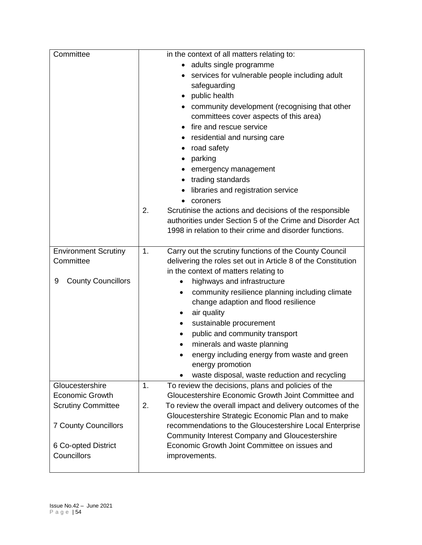| Committee                      | in the context of all matters relating to:                      |
|--------------------------------|-----------------------------------------------------------------|
|                                | adults single programme<br>$\bullet$                            |
|                                | services for vulnerable people including adult<br>$\bullet$     |
|                                | safeguarding                                                    |
|                                | public health<br>$\bullet$                                      |
|                                | community development (recognising that other                   |
|                                | committees cover aspects of this area)                          |
|                                | fire and rescue service                                         |
|                                | residential and nursing care                                    |
|                                | road safety                                                     |
|                                | parking<br>٠                                                    |
|                                | emergency management                                            |
|                                | trading standards                                               |
|                                | libraries and registration service                              |
|                                | coroners                                                        |
|                                | Scrutinise the actions and decisions of the responsible<br>2.   |
|                                | authorities under Section 5 of the Crime and Disorder Act       |
|                                | 1998 in relation to their crime and disorder functions.         |
|                                |                                                                 |
| <b>Environment Scrutiny</b>    | Carry out the scrutiny functions of the County Council<br>1.    |
| Committee                      | delivering the roles set out in Article 8 of the Constitution   |
|                                | in the context of matters relating to                           |
| <b>County Councillors</b><br>9 | highways and infrastructure<br>٠                                |
|                                | community resilience planning including climate<br>٠            |
|                                | change adaption and flood resilience                            |
|                                | air quality<br>٠                                                |
|                                | sustainable procurement<br>٠                                    |
|                                | public and community transport                                  |
|                                | minerals and waste planning                                     |
|                                | energy including energy from waste and green                    |
|                                | energy promotion                                                |
|                                | waste disposal, waste reduction and recycling                   |
| Gloucestershire                | To review the decisions, plans and policies of the<br>1.        |
| <b>Economic Growth</b>         | Gloucestershire Economic Growth Joint Committee and             |
| <b>Scrutiny Committee</b>      | To review the overall impact and delivery outcomes of the<br>2. |
|                                | Gloucestershire Strategic Economic Plan and to make             |
| <b>7 County Councillors</b>    | recommendations to the Gloucestershire Local Enterprise         |
|                                | <b>Community Interest Company and Gloucestershire</b>           |
| 6 Co-opted District            | Economic Growth Joint Committee on issues and                   |
| Councillors                    | improvements.                                                   |
|                                |                                                                 |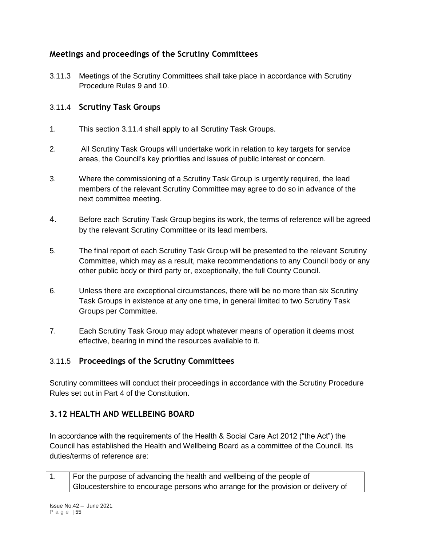# **Meetings and proceedings of the Scrutiny Committees**

3.11.3 Meetings of the Scrutiny Committees shall take place in accordance with Scrutiny Procedure Rules 9 and 10.

## 3.11.4 **Scrutiny Task Groups**

- 1. This section 3.11.4 shall apply to all Scrutiny Task Groups.
- 2. All Scrutiny Task Groups will undertake work in relation to key targets for service areas, the Council's key priorities and issues of public interest or concern.
- 3. Where the commissioning of a Scrutiny Task Group is urgently required, the lead members of the relevant Scrutiny Committee may agree to do so in advance of the next committee meeting.
- 4. Before each Scrutiny Task Group begins its work, the terms of reference will be agreed by the relevant Scrutiny Committee or its lead members.
- 5. The final report of each Scrutiny Task Group will be presented to the relevant Scrutiny Committee, which may as a result, make recommendations to any Council body or any other public body or third party or, exceptionally, the full County Council.
- 6. Unless there are exceptional circumstances, there will be no more than six Scrutiny Task Groups in existence at any one time, in general limited to two Scrutiny Task Groups per Committee.
- 7. Each Scrutiny Task Group may adopt whatever means of operation it deems most effective, bearing in mind the resources available to it.

# 3.11.5 **Proceedings of the Scrutiny Committees**

Scrutiny committees will conduct their proceedings in accordance with the Scrutiny Procedure Rules set out in Part 4 of the Constitution.

# **3.12 HEALTH AND WELLBEING BOARD**

In accordance with the requirements of the Health & Social Care Act 2012 ("the Act") the Council has established the Health and Wellbeing Board as a committee of the Council. Its duties/terms of reference are:

| For the purpose of advancing the health and wellbeing of the people of            |
|-----------------------------------------------------------------------------------|
| Gloucestershire to encourage persons who arrange for the provision or delivery of |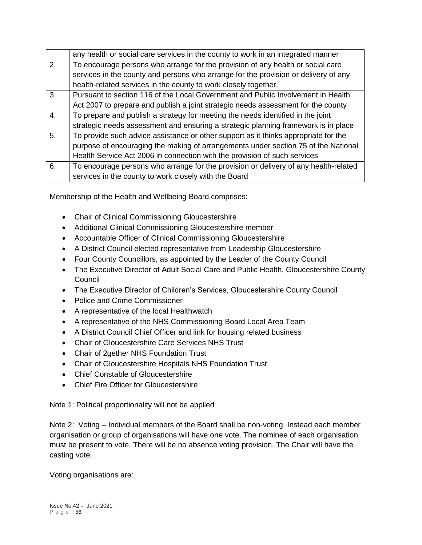|    | any health or social care services in the county to work in an integrated manner     |
|----|--------------------------------------------------------------------------------------|
| 2. | To encourage persons who arrange for the provision of any health or social care      |
|    | services in the county and persons who arrange for the provision or delivery of any  |
|    | health-related services in the county to work closely together.                      |
| 3. | Pursuant to section 116 of the Local Government and Public Involvement in Health     |
|    | Act 2007 to prepare and publish a joint strategic needs assessment for the county    |
| 4. | To prepare and publish a strategy for meeting the needs identified in the joint      |
|    | strategic needs assessment and ensuring a strategic planning framework is in place   |
| 5. | To provide such advice assistance or other support as it thinks appropriate for the  |
|    | purpose of encouraging the making of arrangements under section 75 of the National   |
|    | Health Service Act 2006 in connection with the provision of such services            |
| 6. | To encourage persons who arrange for the provision or delivery of any health-related |
|    | services in the county to work closely with the Board                                |

Membership of the Health and Wellbeing Board comprises:

- Chair of Clinical Commissioning Gloucestershire
- Additional Clinical Commissioning Gloucestershire member
- Accountable Officer of Clinical Commissioning Gloucestershire
- A District Council elected representative from Leadership Gloucestershire
- Four County Councillors, as appointed by the Leader of the County Council
- The Executive Director of Adult Social Care and Public Health, Gloucestershire County **Council**
- The Executive Director of Children's Services, Gloucestershire County Council
- Police and Crime Commissioner
- A representative of the local Healthwatch
- A representative of the NHS Commissioning Board Local Area Team
- A District Council Chief Officer and link for housing related business
- Chair of Gloucestershire Care Services NHS Trust
- Chair of 2gether NHS Foundation Trust
- Chair of Gloucestershire Hospitals NHS Foundation Trust
- Chief Constable of Gloucestershire
- Chief Fire Officer for Gloucestershire

Note 1: Political proportionality will not be applied

Note 2: Voting – Individual members of the Board shall be non-voting. Instead each member organisation or group of organisations will have one vote. The nominee of each organisation must be present to vote. There will be no absence voting provision. The Chair will have the casting vote.

Voting organisations are: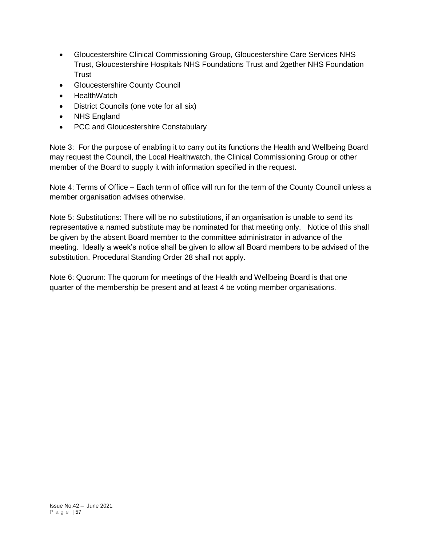- Gloucestershire Clinical Commissioning Group, Gloucestershire Care Services NHS Trust, Gloucestershire Hospitals NHS Foundations Trust and 2gether NHS Foundation **Trust**
- Gloucestershire County Council
- **HealthWatch**
- District Councils (one vote for all six)
- NHS England
- PCC and Gloucestershire Constabulary

Note 3: For the purpose of enabling it to carry out its functions the Health and Wellbeing Board may request the Council, the Local Healthwatch, the Clinical Commissioning Group or other member of the Board to supply it with information specified in the request.

Note 4: Terms of Office – Each term of office will run for the term of the County Council unless a member organisation advises otherwise.

Note 5: Substitutions: There will be no substitutions, if an organisation is unable to send its representative a named substitute may be nominated for that meeting only. Notice of this shall be given by the absent Board member to the committee administrator in advance of the meeting. Ideally a week's notice shall be given to allow all Board members to be advised of the substitution. Procedural Standing Order 28 shall not apply.

Note 6: Quorum: The quorum for meetings of the Health and Wellbeing Board is that one quarter of the membership be present and at least 4 be voting member organisations.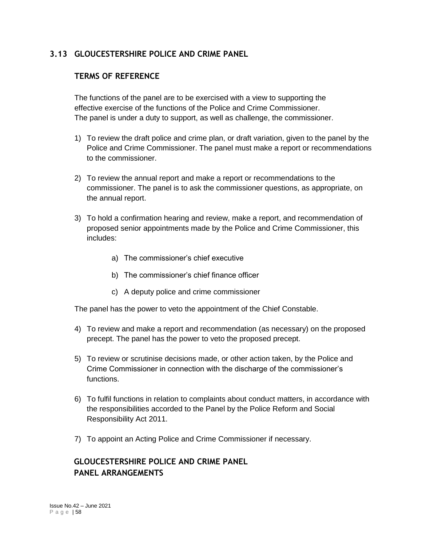## **3.13 GLOUCESTERSHIRE POLICE AND CRIME PANEL**

## **TERMS OF REFERENCE**

The functions of the panel are to be exercised with a view to supporting the effective exercise of the functions of the Police and Crime Commissioner. The panel is under a duty to support, as well as challenge, the commissioner.

- 1) To review the draft police and crime plan, or draft variation, given to the panel by the Police and Crime Commissioner. The panel must make a report or recommendations to the commissioner.
- 2) To review the annual report and make a report or recommendations to the commissioner. The panel is to ask the commissioner questions, as appropriate, on the annual report.
- 3) To hold a confirmation hearing and review, make a report, and recommendation of proposed senior appointments made by the Police and Crime Commissioner, this includes:
	- a) The commissioner's chief executive
	- b) The commissioner's chief finance officer
	- c) A deputy police and crime commissioner

The panel has the power to veto the appointment of the Chief Constable.

- 4) To review and make a report and recommendation (as necessary) on the proposed precept. The panel has the power to veto the proposed precept.
- 5) To review or scrutinise decisions made, or other action taken, by the Police and Crime Commissioner in connection with the discharge of the commissioner's functions.
- 6) To fulfil functions in relation to complaints about conduct matters, in accordance with the responsibilities accorded to the Panel by the Police Reform and Social Responsibility Act 2011.
- 7) To appoint an Acting Police and Crime Commissioner if necessary.

# **GLOUCESTERSHIRE POLICE AND CRIME PANEL PANEL ARRANGEMENTS**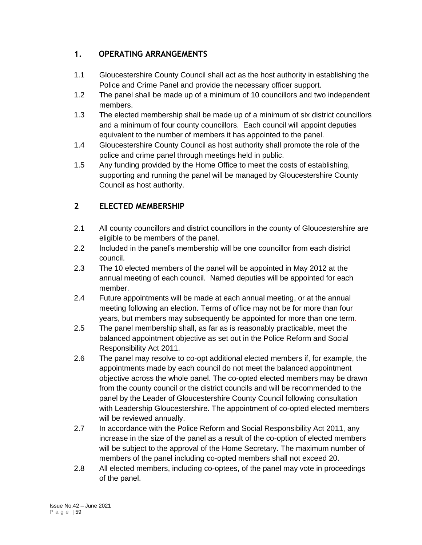# **1. OPERATING ARRANGEMENTS**

- 1.1 Gloucestershire County Council shall act as the host authority in establishing the Police and Crime Panel and provide the necessary officer support.
- 1.2 The panel shall be made up of a minimum of 10 councillors and two independent members.
- 1.3 The elected membership shall be made up of a minimum of six district councillors and a minimum of four county councillors. Each council will appoint deputies equivalent to the number of members it has appointed to the panel.
- 1.4 Gloucestershire County Council as host authority shall promote the role of the police and crime panel through meetings held in public.
- 1.5 Any funding provided by the Home Office to meet the costs of establishing, supporting and running the panel will be managed by Gloucestershire County Council as host authority.

# **2 ELECTED MEMBERSHIP**

- 2.1 All county councillors and district councillors in the county of Gloucestershire are eligible to be members of the panel.
- 2.2 Included in the panel's membership will be one councillor from each district council.
- 2.3 The 10 elected members of the panel will be appointed in May 2012 at the annual meeting of each council. Named deputies will be appointed for each member.
- 2.4 Future appointments will be made at each annual meeting, or at the annual meeting following an election. Terms of office may not be for more than four years, but members may subsequently be appointed for more than one term.
- 2.5 The panel membership shall, as far as is reasonably practicable, meet the balanced appointment objective as set out in the Police Reform and Social Responsibility Act 2011.
- 2.6 The panel may resolve to co-opt additional elected members if, for example, the appointments made by each council do not meet the balanced appointment objective across the whole panel. The co-opted elected members may be drawn from the county council or the district councils and will be recommended to the panel by the Leader of Gloucestershire County Council following consultation with Leadership Gloucestershire. The appointment of co-opted elected members will be reviewed annually.
- 2.7 In accordance with the Police Reform and Social Responsibility Act 2011, any increase in the size of the panel as a result of the co-option of elected members will be subject to the approval of the Home Secretary. The maximum number of members of the panel including co-opted members shall not exceed 20.
- 2.8 All elected members, including co-optees, of the panel may vote in proceedings of the panel.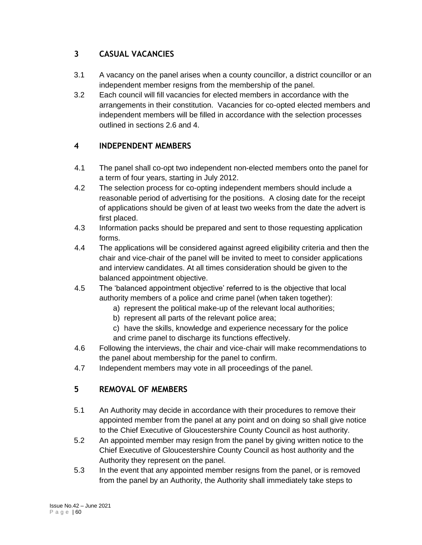# **3 CASUAL VACANCIES**

- 3.1 A vacancy on the panel arises when a county councillor, a district councillor or an independent member resigns from the membership of the panel.
- 3.2 Each council will fill vacancies for elected members in accordance with the arrangements in their constitution. Vacancies for co-opted elected members and independent members will be filled in accordance with the selection processes outlined in sections 2.6 and 4.

# **4 INDEPENDENT MEMBERS**

- 4.1 The panel shall co-opt two independent non-elected members onto the panel for a term of four years, starting in July 2012.
- 4.2 The selection process for co-opting independent members should include a reasonable period of advertising for the positions. A closing date for the receipt of applications should be given of at least two weeks from the date the advert is first placed.
- 4.3 Information packs should be prepared and sent to those requesting application forms.
- 4.4 The applications will be considered against agreed eligibility criteria and then the chair and vice-chair of the panel will be invited to meet to consider applications and interview candidates. At all times consideration should be given to the balanced appointment objective.
- 4.5 The 'balanced appointment objective' referred to is the objective that local authority members of a police and crime panel (when taken together):
	- a) represent the political make-up of the relevant local authorities;
	- b) represent all parts of the relevant police area;
	- c) have the skills, knowledge and experience necessary for the police and crime panel to discharge its functions effectively.
- 4.6 Following the interviews, the chair and vice-chair will make recommendations to the panel about membership for the panel to confirm.
- 4.7 Independent members may vote in all proceedings of the panel.

# **5 REMOVAL OF MEMBERS**

- 5.1 An Authority may decide in accordance with their procedures to remove their appointed member from the panel at any point and on doing so shall give notice to the Chief Executive of Gloucestershire County Council as host authority.
- 5.2 An appointed member may resign from the panel by giving written notice to the Chief Executive of Gloucestershire County Council as host authority and the Authority they represent on the panel.
- 5.3 In the event that any appointed member resigns from the panel, or is removed from the panel by an Authority, the Authority shall immediately take steps to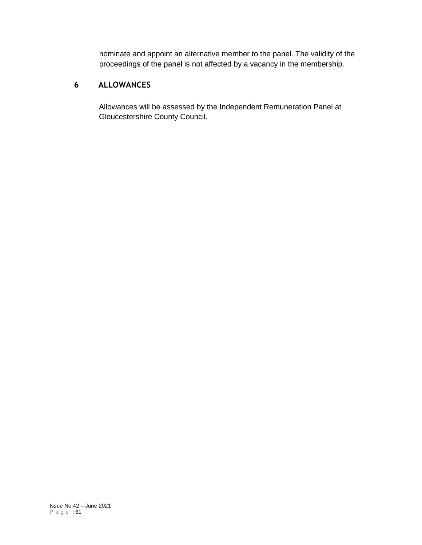nominate and appoint an alternative member to the panel. The validity of the proceedings of the panel is not affected by a vacancy in the membership.

# **6 ALLOWANCES**

Allowances will be assessed by the Independent Remuneration Panel at Gloucestershire County Council.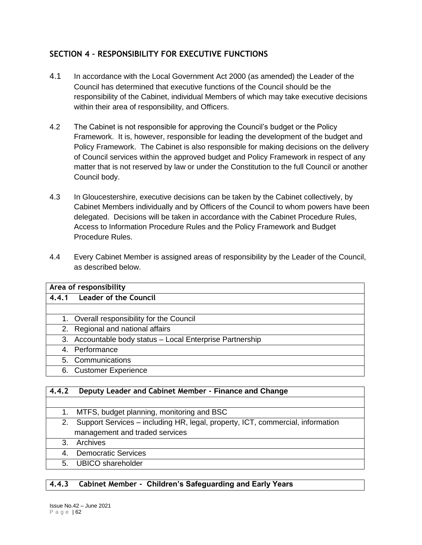# **SECTION 4 – RESPONSIBILITY FOR EXECUTIVE FUNCTIONS**

- 4.1 In accordance with the Local Government Act 2000 (as amended) the Leader of the Council has determined that executive functions of the Council should be the responsibility of the Cabinet, individual Members of which may take executive decisions within their area of responsibility, and Officers.
- 4.2 The Cabinet is not responsible for approving the Council's budget or the Policy Framework. It is, however, responsible for leading the development of the budget and Policy Framework. The Cabinet is also responsible for making decisions on the delivery of Council services within the approved budget and Policy Framework in respect of any matter that is not reserved by law or under the Constitution to the full Council or another Council body.
- 4.3 In Gloucestershire, executive decisions can be taken by the Cabinet collectively, by Cabinet Members individually and by Officers of the Council to whom powers have been delegated. Decisions will be taken in accordance with the Cabinet Procedure Rules, Access to Information Procedure Rules and the Policy Framework and Budget Procedure Rules.
- 4.4 Every Cabinet Member is assigned areas of responsibility by the Leader of the Council, as described below.

| Area of responsibility                                    |  |  |  |
|-----------------------------------------------------------|--|--|--|
| 4.4.1 Leader of the Council                               |  |  |  |
|                                                           |  |  |  |
| 1. Overall responsibility for the Council                 |  |  |  |
| 2. Regional and national affairs                          |  |  |  |
| 3. Accountable body status - Local Enterprise Partnership |  |  |  |
| 4. Performance                                            |  |  |  |
| 5. Communications                                         |  |  |  |
| 6. Customer Experience                                    |  |  |  |

#### **4.4.2 Deputy Leader and Cabinet Member - Finance and Change**

- 1. MTFS, budget planning, monitoring and BSC 2. Support Services – including HR, legal, property, ICT, commercial, information management and traded services
- 3. Archives
- 4. Democratic Services
- 5. UBICO shareholder

## **4.4.3 Cabinet Member - Children's Safeguarding and Early Years**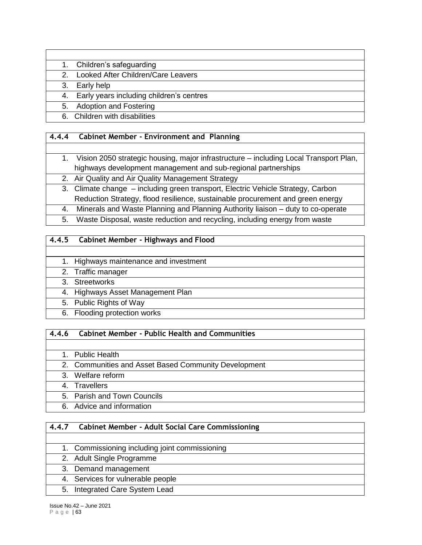#### 1. Children's safeguarding

#### 2. Looked After Children/Care Leavers

#### 3. Early help

#### 4. Early years including children's centres

## 5. Adoption and Fostering

6. Children with disabilities

## **4.4.4 Cabinet Member - Environment and Planning**

# 1. Vision 2050 strategic housing, major infrastructure – including Local Transport Plan, highways development management and sub-regional partnerships

- 2. Air Quality and Air Quality Management Strategy
- 3. Climate change including green transport, Electric Vehicle Strategy, Carbon Reduction Strategy, flood resilience, sustainable procurement and green energy
- 4. Minerals and Waste Planning and Planning Authority liaison duty to co-operate
- 5. Waste Disposal, waste reduction and recycling, including energy from waste

## **4.4.5 Cabinet Member - Highways and Flood**

- 1. Highways maintenance and investment
- 2. Traffic manager
- 3. Streetworks
- 4. Highways Asset Management Plan
- 5. Public Rights of Way
- 6. Flooding protection works

## **4.4.6 Cabinet Member - Public Health and Communities**

- 1. Public Health
- 2. Communities and Asset Based Community Development
- 3. Welfare reform
- 4. Travellers
- 5. Parish and Town Councils
- 6. Advice and information

## **4.4.7 Cabinet Member - Adult Social Care Commissioning**

- 1. Commissioning including joint commissioning
- 2. Adult Single Programme
- 3. Demand management
- 4. Services for vulnerable people
- 5. Integrated Care System Lead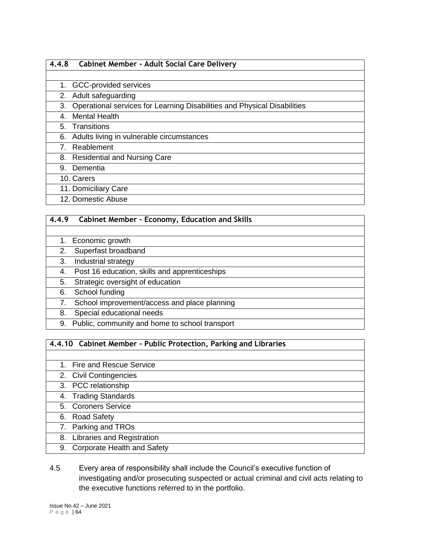#### **4.4.8 Cabinet Member - Adult Social Care Delivery**

- 1. GCC-provided services
- 2. Adult safeguarding
- 3. Operational services for Learning Disabilities and Physical Disabilities
- 4. Mental Health
- 5. Transitions
- 6. Adults living in vulnerable circumstances
- 7. Reablement
- 8. Residential and Nursing Care
- 9. Dementia
- 10. Carers
- 11. Domiciliary Care
- 12. Domestic Abuse

#### **4.4.9 Cabinet Member - Economy, Education and Skills**

- 1. Economic growth
- 2. Superfast broadband
- 3. Industrial strategy
- 4. Post 16 education, skills and apprenticeships
- 5. Strategic oversight of education
- 6. School funding
- 7. School improvement/access and place planning
- 8. Special educational needs
- 9. Public, community and home to school transport

#### **4.4.10 Cabinet Member - Public Protection, Parking and Libraries**

| 1. Fire and Rescue Service     |
|--------------------------------|
| 2. Civil Contingencies         |
| 3. PCC relationship            |
| 4. Trading Standards           |
| 5. Coroners Service            |
| 6. Road Safety                 |
| 7. Parking and TROs            |
| 8. Libraries and Registration  |
| 9. Corporate Health and Safety |

## 4.5 Every area of responsibility shall include the Council's executive function of investigating and/or prosecuting suspected or actual criminal and civil acts relating to the executive functions referred to in the portfolio.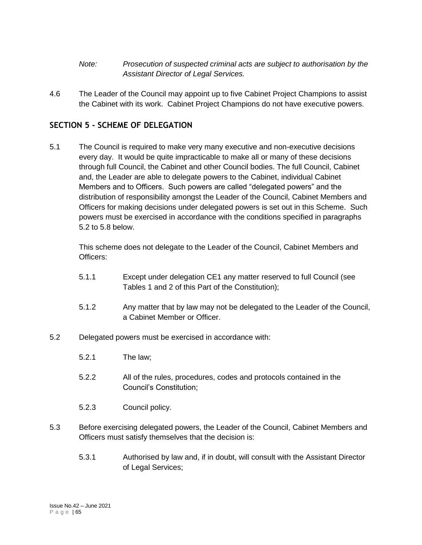- *Note: Prosecution of suspected criminal acts are subject to authorisation by the Assistant Director of Legal Services.*
- 4.6 The Leader of the Council may appoint up to five Cabinet Project Champions to assist the Cabinet with its work. Cabinet Project Champions do not have executive powers.

## **SECTION 5 - SCHEME OF DELEGATION**

5.1 The Council is required to make very many executive and non-executive decisions every day. It would be quite impracticable to make all or many of these decisions through full Council, the Cabinet and other Council bodies. The full Council, Cabinet and, the Leader are able to delegate powers to the Cabinet, individual Cabinet Members and to Officers. Such powers are called "delegated powers" and the distribution of responsibility amongst the Leader of the Council, Cabinet Members and Officers for making decisions under delegated powers is set out in this Scheme. Such powers must be exercised in accordance with the conditions specified in paragraphs 5.2 to 5.8 below.

This scheme does not delegate to the Leader of the Council, Cabinet Members and Officers:

- 5.1.1 Except under delegation CE1 any matter reserved to full Council (see Tables 1 and 2 of this Part of the Constitution);
- 5.1.2 Any matter that by law may not be delegated to the Leader of the Council, a Cabinet Member or Officer.
- 5.2 Delegated powers must be exercised in accordance with:
	- 5.2.1 The law;
	- 5.2.2 All of the rules, procedures, codes and protocols contained in the Council's Constitution;
	- 5.2.3 Council policy.
- 5.3 Before exercising delegated powers, the Leader of the Council, Cabinet Members and Officers must satisfy themselves that the decision is:
	- 5.3.1 Authorised by law and, if in doubt, will consult with the Assistant Director of Legal Services;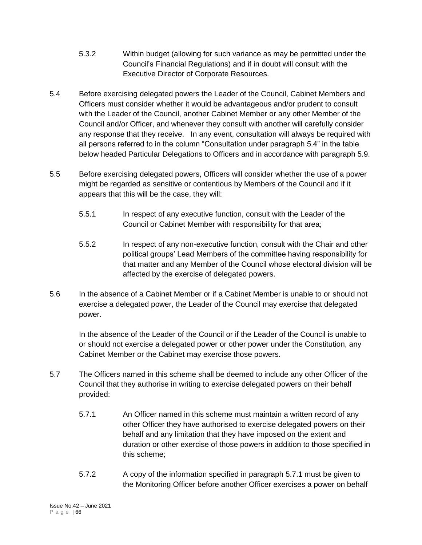- 5.3.2 Within budget (allowing for such variance as may be permitted under the Council's Financial Regulations) and if in doubt will consult with the Executive Director of Corporate Resources.
- 5.4 Before exercising delegated powers the Leader of the Council, Cabinet Members and Officers must consider whether it would be advantageous and/or prudent to consult with the Leader of the Council, another Cabinet Member or any other Member of the Council and/or Officer, and whenever they consult with another will carefully consider any response that they receive. In any event, consultation will always be required with all persons referred to in the column "Consultation under paragraph 5.4" in the table below headed Particular Delegations to Officers and in accordance with paragraph 5.9.
- 5.5 Before exercising delegated powers, Officers will consider whether the use of a power might be regarded as sensitive or contentious by Members of the Council and if it appears that this will be the case, they will:
	- 5.5.1 In respect of any executive function, consult with the Leader of the Council or Cabinet Member with responsibility for that area;
	- 5.5.2 In respect of any non-executive function, consult with the Chair and other political groups' Lead Members of the committee having responsibility for that matter and any Member of the Council whose electoral division will be affected by the exercise of delegated powers.
- 5.6 In the absence of a Cabinet Member or if a Cabinet Member is unable to or should not exercise a delegated power, the Leader of the Council may exercise that delegated power.

In the absence of the Leader of the Council or if the Leader of the Council is unable to or should not exercise a delegated power or other power under the Constitution, any Cabinet Member or the Cabinet may exercise those powers.

- 5.7 The Officers named in this scheme shall be deemed to include any other Officer of the Council that they authorise in writing to exercise delegated powers on their behalf provided:
	- 5.7.1 An Officer named in this scheme must maintain a written record of any other Officer they have authorised to exercise delegated powers on their behalf and any limitation that they have imposed on the extent and duration or other exercise of those powers in addition to those specified in this scheme;
	- 5.7.2 A copy of the information specified in paragraph 5.7.1 must be given to the Monitoring Officer before another Officer exercises a power on behalf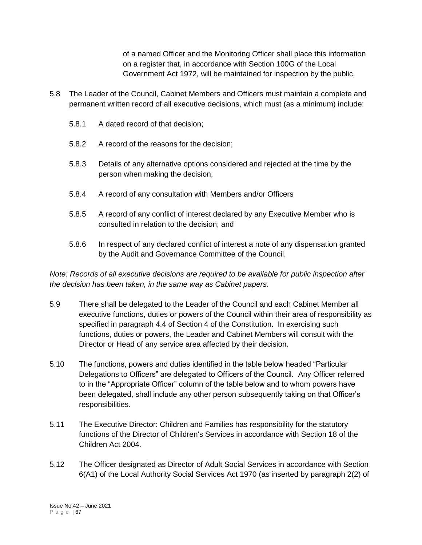of a named Officer and the Monitoring Officer shall place this information on a register that, in accordance with Section 100G of the Local Government Act 1972, will be maintained for inspection by the public.

- 5.8 The Leader of the Council, Cabinet Members and Officers must maintain a complete and permanent written record of all executive decisions, which must (as a minimum) include:
	- 5.8.1 A dated record of that decision;
	- 5.8.2 A record of the reasons for the decision;
	- 5.8.3 Details of any alternative options considered and rejected at the time by the person when making the decision;
	- 5.8.4 A record of any consultation with Members and/or Officers
	- 5.8.5 A record of any conflict of interest declared by any Executive Member who is consulted in relation to the decision; and
	- 5.8.6 In respect of any declared conflict of interest a note of any dispensation granted by the Audit and Governance Committee of the Council.

*Note: Records of all executive decisions are required to be available for public inspection after the decision has been taken, in the same way as Cabinet papers.*

- 5.9 There shall be delegated to the Leader of the Council and each Cabinet Member all executive functions, duties or powers of the Council within their area of responsibility as specified in paragraph 4.4 of Section 4 of the Constitution. In exercising such functions, duties or powers, the Leader and Cabinet Members will consult with the Director or Head of any service area affected by their decision.
- 5.10 The functions, powers and duties identified in the table below headed "Particular Delegations to Officers" are delegated to Officers of the Council. Any Officer referred to in the "Appropriate Officer" column of the table below and to whom powers have been delegated, shall include any other person subsequently taking on that Officer's responsibilities.
- 5.11 The Executive Director: Children and Families has responsibility for the statutory functions of the Director of Children's Services in accordance with Section 18 of the Children Act 2004.
- 5.12 The Officer designated as Director of Adult Social Services in accordance with Section 6(A1) of the Local Authority Social Services Act 1970 (as inserted by paragraph 2(2) of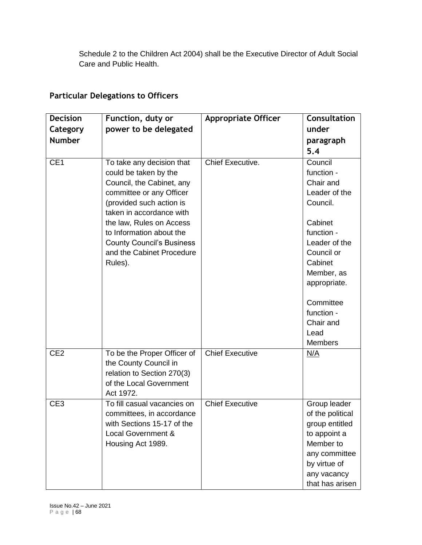Schedule 2 to the Children Act 2004) shall be the Executive Director of Adult Social Care and Public Health.

# **Particular Delegations to Officers**

| <b>Decision</b> | Function, duty or                                                                                                                                                                                                                                                                                       | <b>Appropriate Officer</b> | <b>Consultation</b>                                                                                                                                                                                                                |
|-----------------|---------------------------------------------------------------------------------------------------------------------------------------------------------------------------------------------------------------------------------------------------------------------------------------------------------|----------------------------|------------------------------------------------------------------------------------------------------------------------------------------------------------------------------------------------------------------------------------|
| Category        | power to be delegated                                                                                                                                                                                                                                                                                   |                            | under                                                                                                                                                                                                                              |
| <b>Number</b>   |                                                                                                                                                                                                                                                                                                         |                            | paragraph                                                                                                                                                                                                                          |
|                 |                                                                                                                                                                                                                                                                                                         |                            | 5.4                                                                                                                                                                                                                                |
| CE <sub>1</sub> | To take any decision that<br>could be taken by the<br>Council, the Cabinet, any<br>committee or any Officer<br>(provided such action is<br>taken in accordance with<br>the law, Rules on Access<br>to Information about the<br><b>County Council's Business</b><br>and the Cabinet Procedure<br>Rules). | Chief Executive.           | Council<br>function -<br>Chair and<br>Leader of the<br>Council.<br>Cabinet<br>function -<br>Leader of the<br>Council or<br>Cabinet<br>Member, as<br>appropriate.<br>Committee<br>function -<br>Chair and<br>Lead<br><b>Members</b> |
| CE <sub>2</sub> | To be the Proper Officer of<br>the County Council in<br>relation to Section 270(3)<br>of the Local Government<br>Act 1972.                                                                                                                                                                              | <b>Chief Executive</b>     | N/A                                                                                                                                                                                                                                |
| CE <sub>3</sub> | To fill casual vacancies on<br>committees, in accordance<br>with Sections 15-17 of the<br>Local Government &<br>Housing Act 1989.                                                                                                                                                                       | <b>Chief Executive</b>     | Group leader<br>of the political<br>group entitled<br>to appoint a<br>Member to<br>any committee<br>by virtue of<br>any vacancy<br>that has arisen                                                                                 |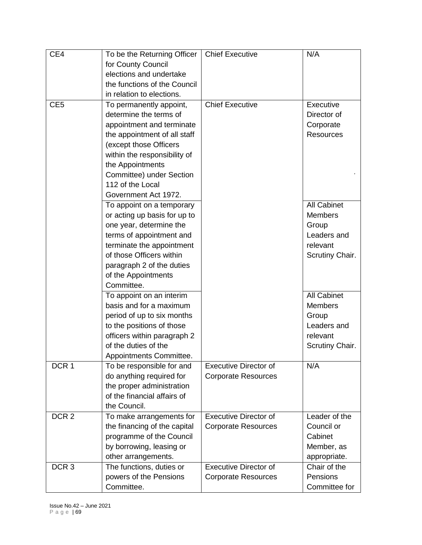| CE4              | To be the Returning Officer   | <b>Chief Executive</b>       | N/A                |
|------------------|-------------------------------|------------------------------|--------------------|
|                  | for County Council            |                              |                    |
|                  | elections and undertake       |                              |                    |
|                  | the functions of the Council  |                              |                    |
|                  | in relation to elections.     |                              |                    |
| CE <sub>5</sub>  | To permanently appoint,       | <b>Chief Executive</b>       | Executive          |
|                  | determine the terms of        |                              | Director of        |
|                  | appointment and terminate     |                              | Corporate          |
|                  | the appointment of all staff  |                              | <b>Resources</b>   |
|                  | (except those Officers        |                              |                    |
|                  | within the responsibility of  |                              |                    |
|                  | the Appointments              |                              |                    |
|                  | Committee) under Section      |                              |                    |
|                  | 112 of the Local              |                              |                    |
|                  |                               |                              |                    |
|                  | Government Act 1972.          |                              |                    |
|                  | To appoint on a temporary     |                              | <b>All Cabinet</b> |
|                  | or acting up basis for up to  |                              | <b>Members</b>     |
|                  | one year, determine the       |                              | Group              |
|                  | terms of appointment and      |                              | Leaders and        |
|                  | terminate the appointment     |                              | relevant           |
|                  | of those Officers within      |                              | Scrutiny Chair.    |
|                  | paragraph 2 of the duties     |                              |                    |
|                  | of the Appointments           |                              |                    |
|                  | Committee.                    |                              |                    |
|                  | To appoint on an interim      |                              | <b>All Cabinet</b> |
|                  | basis and for a maximum       |                              | <b>Members</b>     |
|                  | period of up to six months    |                              | Group              |
|                  | to the positions of those     |                              | Leaders and        |
|                  | officers within paragraph 2   |                              | relevant           |
|                  | of the duties of the          |                              | Scrutiny Chair.    |
|                  | <b>Appointments Committee</b> |                              |                    |
| DCR <sub>1</sub> | To be responsible for and     | <b>Executive Director of</b> | N/A                |
|                  | do anything required for      | <b>Corporate Resources</b>   |                    |
|                  | the proper administration     |                              |                    |
|                  | of the financial affairs of   |                              |                    |
|                  | the Council.                  |                              |                    |
| DCR <sub>2</sub> | To make arrangements for      | <b>Executive Director of</b> | Leader of the      |
|                  | the financing of the capital  | <b>Corporate Resources</b>   | Council or         |
|                  | programme of the Council      |                              | Cabinet            |
|                  | by borrowing, leasing or      |                              | Member, as         |
|                  | other arrangements.           |                              | appropriate.       |
| DCR <sub>3</sub> | The functions, duties or      | <b>Executive Director of</b> | Chair of the       |
|                  | powers of the Pensions        | <b>Corporate Resources</b>   | Pensions           |
|                  | Committee.                    |                              | Committee for      |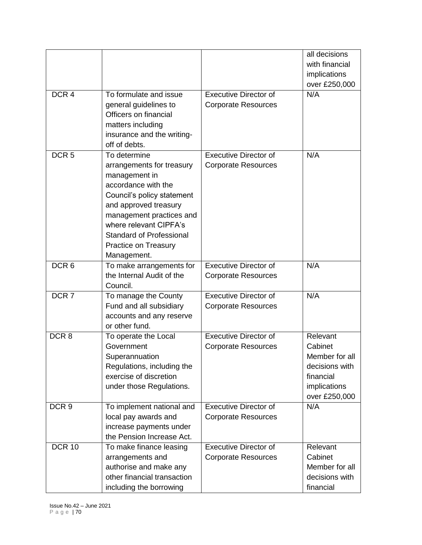|                  |                                                                                                                                                                                                                                                                          |                                                            | all decisions<br>with financial<br>implications<br>over £250,000                                      |
|------------------|--------------------------------------------------------------------------------------------------------------------------------------------------------------------------------------------------------------------------------------------------------------------------|------------------------------------------------------------|-------------------------------------------------------------------------------------------------------|
| DCR <sub>4</sub> | To formulate and issue<br>general guidelines to<br>Officers on financial<br>matters including<br>insurance and the writing-<br>off of debts.                                                                                                                             | <b>Executive Director of</b><br><b>Corporate Resources</b> | N/A                                                                                                   |
| DCR <sub>5</sub> | To determine<br>arrangements for treasury<br>management in<br>accordance with the<br>Council's policy statement<br>and approved treasury<br>management practices and<br>where relevant CIPFA's<br><b>Standard of Professional</b><br>Practice on Treasury<br>Management. | <b>Executive Director of</b><br><b>Corporate Resources</b> | N/A                                                                                                   |
| DCR <sub>6</sub> | To make arrangements for<br>the Internal Audit of the<br>Council.                                                                                                                                                                                                        | <b>Executive Director of</b><br><b>Corporate Resources</b> | N/A                                                                                                   |
| DCR <sub>7</sub> | To manage the County<br>Fund and all subsidiary<br>accounts and any reserve<br>or other fund.                                                                                                                                                                            | <b>Executive Director of</b><br><b>Corporate Resources</b> | N/A                                                                                                   |
| DCR <sub>8</sub> | To operate the Local<br>Government<br>Superannuation<br>Regulations, including the<br>exercise of discretion<br>under those Regulations.                                                                                                                                 | <b>Executive Director of</b><br><b>Corporate Resources</b> | Relevant<br>Cabinet<br>Member for all<br>decisions with<br>financial<br>implications<br>over £250,000 |
| DCR <sub>9</sub> | To implement national and<br>local pay awards and<br>increase payments under<br>the Pension Increase Act.                                                                                                                                                                | <b>Executive Director of</b><br><b>Corporate Resources</b> | N/A                                                                                                   |
| <b>DCR 10</b>    | To make finance leasing<br>arrangements and<br>authorise and make any<br>other financial transaction<br>including the borrowing                                                                                                                                          | <b>Executive Director of</b><br><b>Corporate Resources</b> | Relevant<br>Cabinet<br>Member for all<br>decisions with<br>financial                                  |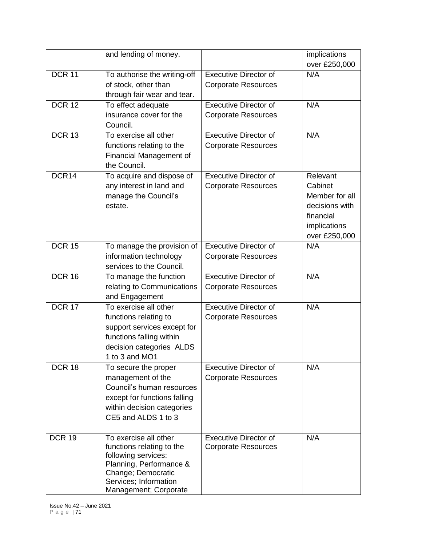|               | and lending of money.                             |                              | implications   |
|---------------|---------------------------------------------------|------------------------------|----------------|
|               |                                                   |                              | over £250,000  |
| <b>DCR 11</b> | To authorise the writing-off                      | <b>Executive Director of</b> | N/A            |
|               | of stock, other than                              | <b>Corporate Resources</b>   |                |
|               | through fair wear and tear.                       |                              |                |
| <b>DCR 12</b> | To effect adequate                                | <b>Executive Director of</b> | N/A            |
|               | insurance cover for the                           | <b>Corporate Resources</b>   |                |
|               | Council.                                          |                              |                |
| <b>DCR 13</b> | To exercise all other                             | <b>Executive Director of</b> | N/A            |
|               | functions relating to the                         | <b>Corporate Resources</b>   |                |
|               | Financial Management of                           |                              |                |
|               | the Council.                                      |                              |                |
| DCR14         | To acquire and dispose of                         | <b>Executive Director of</b> | Relevant       |
|               | any interest in land and                          | <b>Corporate Resources</b>   | Cabinet        |
|               | manage the Council's                              |                              | Member for all |
|               | estate.                                           |                              | decisions with |
|               |                                                   |                              | financial      |
|               |                                                   |                              | implications   |
|               |                                                   |                              | over £250,000  |
| <b>DCR 15</b> | To manage the provision of                        | <b>Executive Director of</b> | N/A            |
|               | information technology                            | <b>Corporate Resources</b>   |                |
|               | services to the Council.                          |                              |                |
| <b>DCR 16</b> | To manage the function                            | <b>Executive Director of</b> | N/A            |
|               | relating to Communications                        | <b>Corporate Resources</b>   |                |
|               | and Engagement                                    |                              |                |
| <b>DCR 17</b> | To exercise all other                             | <b>Executive Director of</b> | N/A            |
|               | functions relating to                             | <b>Corporate Resources</b>   |                |
|               | support services except for                       |                              |                |
|               | functions falling within                          |                              |                |
|               | decision categories ALDS                          |                              |                |
|               | 1 to 3 and MO1                                    |                              |                |
| <b>DCR 18</b> | To secure the proper                              | <b>Executive Director of</b> | N/A            |
|               | management of the                                 | <b>Corporate Resources</b>   |                |
|               | Council's human resources                         |                              |                |
|               | except for functions falling                      |                              |                |
|               | within decision categories<br>CE5 and ALDS 1 to 3 |                              |                |
|               |                                                   |                              |                |
| <b>DCR 19</b> | To exercise all other                             | <b>Executive Director of</b> | N/A            |
|               | functions relating to the                         | <b>Corporate Resources</b>   |                |
|               | following services:                               |                              |                |
|               | Planning, Performance &                           |                              |                |
|               | Change; Democratic                                |                              |                |
|               | Services; Information                             |                              |                |
|               | Management; Corporate                             |                              |                |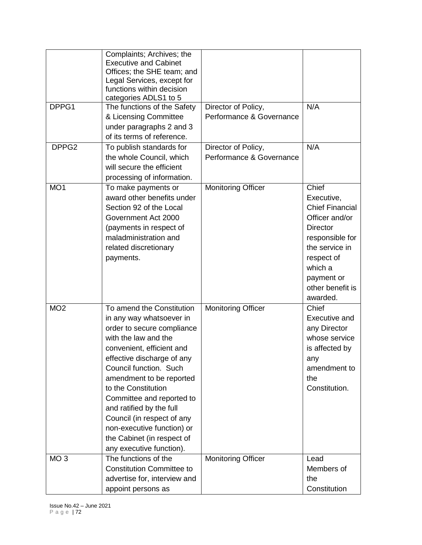| DPPG1             | Complaints; Archives; the<br><b>Executive and Cabinet</b><br>Offices; the SHE team; and<br>Legal Services, except for<br>functions within decision<br>categories ADLS1 to 5<br>The functions of the Safety<br>& Licensing Committee<br>under paragraphs 2 and 3<br>of its terms of reference.                                                                                                                                      | Director of Policy,<br>Performance & Governance | N/A                                                                                                                                                                                            |
|-------------------|------------------------------------------------------------------------------------------------------------------------------------------------------------------------------------------------------------------------------------------------------------------------------------------------------------------------------------------------------------------------------------------------------------------------------------|-------------------------------------------------|------------------------------------------------------------------------------------------------------------------------------------------------------------------------------------------------|
| DPPG <sub>2</sub> | To publish standards for<br>the whole Council, which<br>will secure the efficient<br>processing of information.                                                                                                                                                                                                                                                                                                                    | Director of Policy,<br>Performance & Governance | N/A                                                                                                                                                                                            |
| MO <sub>1</sub>   | To make payments or<br>award other benefits under<br>Section 92 of the Local<br>Government Act 2000<br>(payments in respect of<br>maladministration and<br>related discretionary<br>payments.                                                                                                                                                                                                                                      | <b>Monitoring Officer</b>                       | Chief<br>Executive,<br><b>Chief Financial</b><br>Officer and/or<br><b>Director</b><br>responsible for<br>the service in<br>respect of<br>which a<br>payment or<br>other benefit is<br>awarded. |
| MO <sub>2</sub>   | To amend the Constitution<br>in any way whatsoever in<br>order to secure compliance<br>with the law and the<br>convenient, efficient and<br>effective discharge of any<br>Council function. Such<br>amendment to be reported<br>to the Constitution<br>Committee and reported to<br>and ratified by the full<br>Council (in respect of any<br>non-executive function) or<br>the Cabinet (in respect of<br>any executive function). | <b>Monitoring Officer</b>                       | Chief<br>Executive and<br>any Director<br>whose service<br>is affected by<br>any<br>amendment to<br>the<br>Constitution.                                                                       |
| MO <sub>3</sub>   | The functions of the<br><b>Constitution Committee to</b><br>advertise for, interview and<br>appoint persons as                                                                                                                                                                                                                                                                                                                     | Monitoring Officer                              | Lead<br>Members of<br>the<br>Constitution                                                                                                                                                      |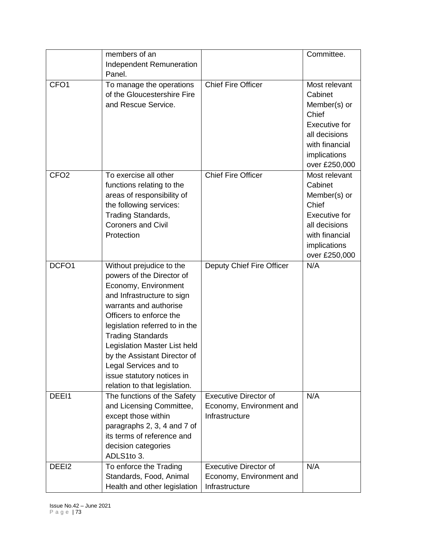|                  | members of an<br>Independent Remuneration<br>Panel.                                                                                                                                                                                                                                                                                                                                    |                                                                            | Committee.                                                                                                                                    |
|------------------|----------------------------------------------------------------------------------------------------------------------------------------------------------------------------------------------------------------------------------------------------------------------------------------------------------------------------------------------------------------------------------------|----------------------------------------------------------------------------|-----------------------------------------------------------------------------------------------------------------------------------------------|
| CFO <sub>1</sub> | To manage the operations<br>of the Gloucestershire Fire<br>and Rescue Service.                                                                                                                                                                                                                                                                                                         | <b>Chief Fire Officer</b>                                                  | Most relevant<br>Cabinet<br>Member(s) or<br>Chief<br><b>Executive for</b><br>all decisions<br>with financial<br>implications<br>over £250,000 |
| CFO <sub>2</sub> | To exercise all other<br>functions relating to the<br>areas of responsibility of<br>the following services:<br>Trading Standards,<br><b>Coroners and Civil</b><br>Protection                                                                                                                                                                                                           | <b>Chief Fire Officer</b>                                                  | Most relevant<br>Cabinet<br>Member(s) or<br>Chief<br><b>Executive for</b><br>all decisions<br>with financial<br>implications<br>over £250,000 |
| DCFO1            | Without prejudice to the<br>powers of the Director of<br>Economy, Environment<br>and Infrastructure to sign<br>warrants and authorise<br>Officers to enforce the<br>legislation referred to in the<br><b>Trading Standards</b><br>Legislation Master List held<br>by the Assistant Director of<br>Legal Services and to<br>issue statutory notices in<br>relation to that legislation. | Deputy Chief Fire Officer                                                  | N/A                                                                                                                                           |
| DEEI1            | The functions of the Safety<br>and Licensing Committee,<br>except those within<br>paragraphs 2, 3, 4 and 7 of<br>its terms of reference and<br>decision categories<br>ADLS1to 3.                                                                                                                                                                                                       | <b>Executive Director of</b><br>Economy, Environment and<br>Infrastructure | N/A                                                                                                                                           |
| DEEI2            | To enforce the Trading<br>Standards, Food, Animal<br>Health and other legislation                                                                                                                                                                                                                                                                                                      | <b>Executive Director of</b><br>Economy, Environment and<br>Infrastructure | N/A                                                                                                                                           |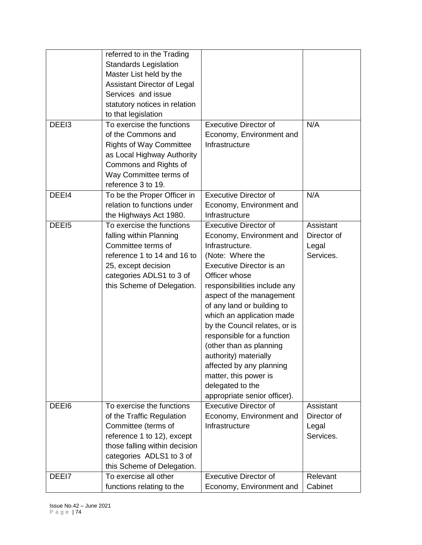|       | referred to in the Trading<br><b>Standards Legislation</b> |                               |             |
|-------|------------------------------------------------------------|-------------------------------|-------------|
|       | Master List held by the                                    |                               |             |
|       | Assistant Director of Legal                                |                               |             |
|       | Services and issue                                         |                               |             |
|       | statutory notices in relation                              |                               |             |
|       | to that legislation                                        |                               |             |
| DEEI3 | To exercise the functions                                  | <b>Executive Director of</b>  | N/A         |
|       | of the Commons and                                         | Economy, Environment and      |             |
|       | <b>Rights of Way Committee</b>                             | Infrastructure                |             |
|       | as Local Highway Authority                                 |                               |             |
|       | Commons and Rights of                                      |                               |             |
|       | Way Committee terms of                                     |                               |             |
|       | reference 3 to 19.                                         |                               |             |
| DEEI4 | To be the Proper Officer in                                | <b>Executive Director of</b>  | N/A         |
|       | relation to functions under                                | Economy, Environment and      |             |
|       | the Highways Act 1980.                                     | Infrastructure                |             |
| DEEI5 | To exercise the functions                                  | <b>Executive Director of</b>  | Assistant   |
|       | falling within Planning                                    | Economy, Environment and      | Director of |
|       | Committee terms of                                         | Infrastructure.               | Legal       |
|       | reference 1 to 14 and 16 to                                | (Note: Where the              | Services.   |
|       | 25, except decision                                        | Executive Director is an      |             |
|       | categories ADLS1 to 3 of                                   | Officer whose                 |             |
|       | this Scheme of Delegation.                                 | responsibilities include any  |             |
|       |                                                            | aspect of the management      |             |
|       |                                                            | of any land or building to    |             |
|       |                                                            | which an application made     |             |
|       |                                                            | by the Council relates, or is |             |
|       |                                                            | responsible for a function    |             |
|       |                                                            | (other than as planning       |             |
|       |                                                            | authority) materially         |             |
|       |                                                            | affected by any planning      |             |
|       |                                                            | matter, this power is         |             |
|       |                                                            | delegated to the              |             |
|       |                                                            | appropriate senior officer).  |             |
| DEEI6 | To exercise the functions                                  | Executive Director of         | Assistant   |
|       | of the Traffic Regulation                                  | Economy, Environment and      | Director of |
|       | Committee (terms of                                        | Infrastructure                | Legal       |
|       | reference 1 to 12), except                                 |                               | Services.   |
|       | those falling within decision                              |                               |             |
|       | categories ADLS1 to 3 of                                   |                               |             |
|       | this Scheme of Delegation.                                 |                               |             |
| DEEI7 | To exercise all other                                      | <b>Executive Director of</b>  | Relevant    |
|       | functions relating to the                                  | Economy, Environment and      | Cabinet     |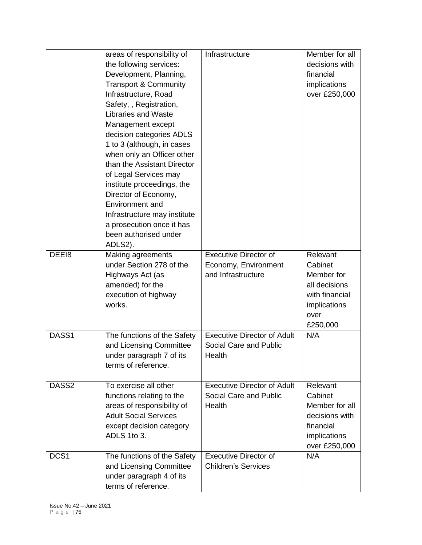|                  | areas of responsibility of<br>the following services:<br>Development, Planning,<br><b>Transport &amp; Community</b><br>Infrastructure, Road<br>Safety, , Registration,<br><b>Libraries and Waste</b><br>Management except<br>decision categories ADLS<br>1 to 3 (although, in cases<br>when only an Officer other<br>than the Assistant Director<br>of Legal Services may<br>institute proceedings, the<br>Director of Economy,<br>Environment and<br>Infrastructure may institute<br>a prosecution once it has<br>been authorised under<br>ADLS2). | Infrastructure                                                             | Member for all<br>decisions with<br>financial<br>implications<br>over £250,000                           |
|------------------|-----------------------------------------------------------------------------------------------------------------------------------------------------------------------------------------------------------------------------------------------------------------------------------------------------------------------------------------------------------------------------------------------------------------------------------------------------------------------------------------------------------------------------------------------------|----------------------------------------------------------------------------|----------------------------------------------------------------------------------------------------------|
| DEEI8            | Making agreements<br>under Section 278 of the<br>Highways Act (as<br>amended) for the<br>execution of highway<br>works.                                                                                                                                                                                                                                                                                                                                                                                                                             | <b>Executive Director of</b><br>Economy, Environment<br>and Infrastructure | Relevant<br>Cabinet<br>Member for<br>all decisions<br>with financial<br>implications<br>over<br>£250,000 |
| DASS1            | The functions of the Safety<br>and Licensing Committee<br>under paragraph 7 of its<br>terms of reference.                                                                                                                                                                                                                                                                                                                                                                                                                                           | <b>Executive Director of Adult</b><br>Social Care and Public<br>Health     | N/A                                                                                                      |
| DASS2            | To exercise all other<br>functions relating to the<br>areas of responsibility of<br><b>Adult Social Services</b><br>except decision category<br>ADLS 1to 3.                                                                                                                                                                                                                                                                                                                                                                                         | <b>Executive Director of Adult</b><br>Social Care and Public<br>Health     | Relevant<br>Cabinet<br>Member for all<br>decisions with<br>financial<br>implications<br>over £250,000    |
| DCS <sub>1</sub> | The functions of the Safety<br>and Licensing Committee<br>under paragraph 4 of its<br>terms of reference.                                                                                                                                                                                                                                                                                                                                                                                                                                           | <b>Executive Director of</b><br><b>Children's Services</b>                 | N/A                                                                                                      |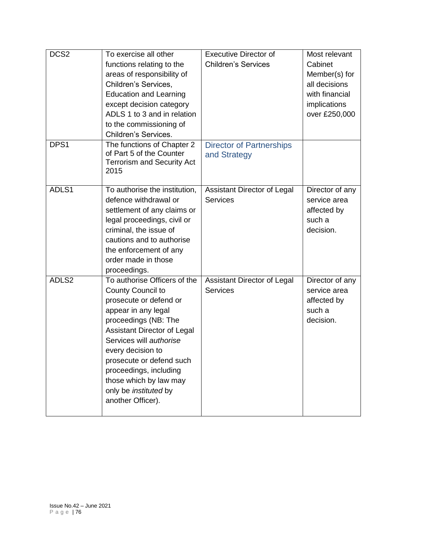| DCS <sub>2</sub> | To exercise all other<br>functions relating to the<br>areas of responsibility of<br>Children's Services,<br><b>Education and Learning</b><br>except decision category<br>ADLS 1 to 3 and in relation<br>to the commissioning of<br>Children's Services.                                                                                        | <b>Executive Director of</b><br><b>Children's Services</b> | Most relevant<br>Cabinet<br>Member(s) for<br>all decisions<br>with financial<br>implications<br>over £250,000 |
|------------------|------------------------------------------------------------------------------------------------------------------------------------------------------------------------------------------------------------------------------------------------------------------------------------------------------------------------------------------------|------------------------------------------------------------|---------------------------------------------------------------------------------------------------------------|
| DPS1             | The functions of Chapter 2<br>of Part 5 of the Counter<br><b>Terrorism and Security Act</b><br>2015                                                                                                                                                                                                                                            | <b>Director of Partnerships</b><br>and Strategy            |                                                                                                               |
| ADLS1            | To authorise the institution,<br>defence withdrawal or<br>settlement of any claims or<br>legal proceedings, civil or<br>criminal, the issue of<br>cautions and to authorise<br>the enforcement of any<br>order made in those<br>proceedings.                                                                                                   | Assistant Director of Legal<br><b>Services</b>             | Director of any<br>service area<br>affected by<br>such a<br>decision.                                         |
| ADLS2            | To authorise Officers of the<br>County Council to<br>prosecute or defend or<br>appear in any legal<br>proceedings (NB: The<br><b>Assistant Director of Legal</b><br>Services will authorise<br>every decision to<br>prosecute or defend such<br>proceedings, including<br>those which by law may<br>only be instituted by<br>another Officer). | Assistant Director of Legal<br><b>Services</b>             | Director of any<br>service area<br>affected by<br>such a<br>decision.                                         |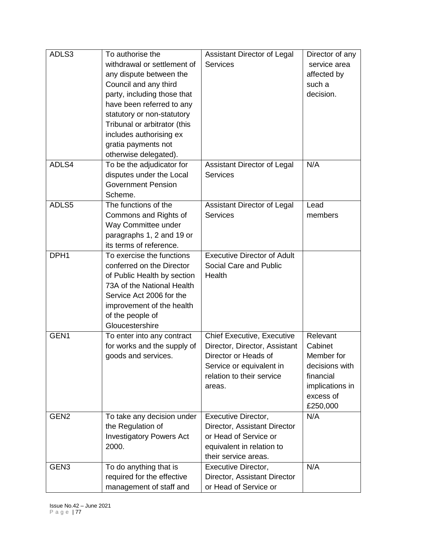| ADLS3            | To authorise the                | <b>Assistant Director of Legal</b> | Director of any |
|------------------|---------------------------------|------------------------------------|-----------------|
|                  | withdrawal or settlement of     | <b>Services</b>                    | service area    |
|                  | any dispute between the         |                                    | affected by     |
|                  | Council and any third           |                                    | such a          |
|                  | party, including those that     |                                    | decision.       |
|                  | have been referred to any       |                                    |                 |
|                  | statutory or non-statutory      |                                    |                 |
|                  | Tribunal or arbitrator (this    |                                    |                 |
|                  | includes authorising ex         |                                    |                 |
|                  | gratia payments not             |                                    |                 |
|                  | otherwise delegated).           |                                    |                 |
| ADLS4            | To be the adjudicator for       | Assistant Director of Legal        | N/A             |
|                  | disputes under the Local        | <b>Services</b>                    |                 |
|                  | <b>Government Pension</b>       |                                    |                 |
|                  | Scheme.                         |                                    |                 |
| ADLS5            | The functions of the            | Assistant Director of Legal        | Lead            |
|                  | Commons and Rights of           | <b>Services</b>                    | members         |
|                  | Way Committee under             |                                    |                 |
|                  | paragraphs 1, 2 and 19 or       |                                    |                 |
|                  | its terms of reference.         |                                    |                 |
| DPH <sub>1</sub> | To exercise the functions       | <b>Executive Director of Adult</b> |                 |
|                  | conferred on the Director       | Social Care and Public             |                 |
|                  | of Public Health by section     | Health                             |                 |
|                  | 73A of the National Health      |                                    |                 |
|                  | Service Act 2006 for the        |                                    |                 |
|                  | improvement of the health       |                                    |                 |
|                  | of the people of                |                                    |                 |
|                  | Gloucestershire                 |                                    |                 |
| GEN1             | To enter into any contract      | <b>Chief Executive, Executive</b>  | Relevant        |
|                  | for works and the supply of     | Director, Director, Assistant      | Cabinet         |
|                  | goods and services.             | Director or Heads of               | Member for      |
|                  |                                 | Service or equivalent in           | decisions with  |
|                  |                                 | relation to their service          | financial       |
|                  |                                 | areas.                             | implications in |
|                  |                                 |                                    | excess of       |
|                  |                                 |                                    | £250,000        |
| GEN <sub>2</sub> | To take any decision under      | Executive Director,                | N/A             |
|                  | the Regulation of               | Director, Assistant Director       |                 |
|                  | <b>Investigatory Powers Act</b> | or Head of Service or              |                 |
|                  | 2000.                           | equivalent in relation to          |                 |
|                  |                                 | their service areas.               |                 |
| GEN <sub>3</sub> | To do anything that is          | Executive Director,                | N/A             |
|                  | required for the effective      | Director, Assistant Director       |                 |
|                  | management of staff and         | or Head of Service or              |                 |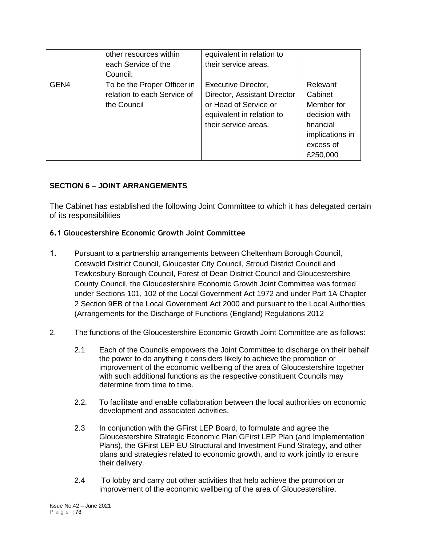|      | other resources within      | equivalent in relation to    |                 |
|------|-----------------------------|------------------------------|-----------------|
|      | each Service of the         | their service areas.         |                 |
|      | Council.                    |                              |                 |
| GEN4 | To be the Proper Officer in | <b>Executive Director,</b>   | Relevant        |
|      | relation to each Service of | Director, Assistant Director | Cabinet         |
|      | the Council                 | or Head of Service or        | Member for      |
|      |                             | equivalent in relation to    | decision with   |
|      |                             | their service areas.         | financial       |
|      |                             |                              | implications in |
|      |                             |                              | excess of       |
|      |                             |                              | £250,000        |

## **SECTION 6 – JOINT ARRANGEMENTS**

The Cabinet has established the following Joint Committee to which it has delegated certain of its responsibilities

#### **6.1 Gloucestershire Economic Growth Joint Committee**

- **1.** Pursuant to a partnership arrangements between Cheltenham Borough Council, Cotswold District Council, Gloucester City Council, Stroud District Council and Tewkesbury Borough Council, Forest of Dean District Council and Gloucestershire County Council, the Gloucestershire Economic Growth Joint Committee was formed under Sections 101, 102 of the Local Government Act 1972 and under Part 1A Chapter 2 Section 9EB of the Local Government Act 2000 and pursuant to the Local Authorities (Arrangements for the Discharge of Functions (England) Regulations 2012
- 2. The functions of the Gloucestershire Economic Growth Joint Committee are as follows:
	- 2.1 Each of the Councils empowers the Joint Committee to discharge on their behalf the power to do anything it considers likely to achieve the promotion or improvement of the economic wellbeing of the area of Gloucestershire together with such additional functions as the respective constituent Councils may determine from time to time.
	- 2.2. To facilitate and enable collaboration between the local authorities on economic development and associated activities.
	- 2.3 In conjunction with the GFirst LEP Board, to formulate and agree the Gloucestershire Strategic Economic Plan GFirst LEP Plan (and Implementation Plans), the GFirst LEP EU Structural and Investment Fund Strategy, and other plans and strategies related to economic growth, and to work jointly to ensure their delivery.
	- 2.4 To lobby and carry out other activities that help achieve the promotion or improvement of the economic wellbeing of the area of Gloucestershire.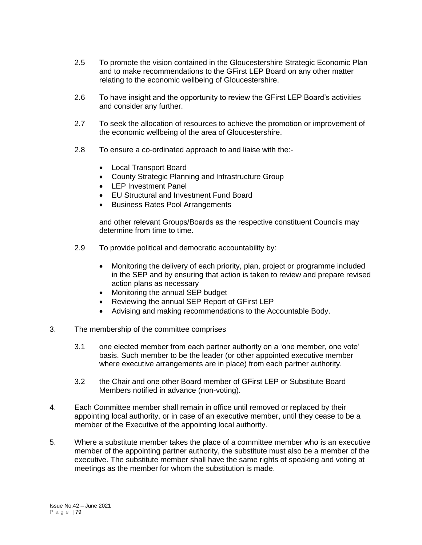- 2.5 To promote the vision contained in the Gloucestershire Strategic Economic Plan and to make recommendations to the GFirst LEP Board on any other matter relating to the economic wellbeing of Gloucestershire.
- 2.6 To have insight and the opportunity to review the GFirst LEP Board's activities and consider any further.
- 2.7 To seek the allocation of resources to achieve the promotion or improvement of the economic wellbeing of the area of Gloucestershire.
- 2.8 To ensure a co-ordinated approach to and liaise with the:-
	- Local Transport Board
	- County Strategic Planning and Infrastructure Group
	- LEP Investment Panel
	- EU Structural and Investment Fund Board
	- Business Rates Pool Arrangements

and other relevant Groups/Boards as the respective constituent Councils may determine from time to time.

- 2.9 To provide political and democratic accountability by:
	- Monitoring the delivery of each priority, plan, project or programme included in the SEP and by ensuring that action is taken to review and prepare revised action plans as necessary
	- Monitoring the annual SEP budget
	- Reviewing the annual SEP Report of GFirst LEP
	- Advising and making recommendations to the Accountable Body.
- 3. The membership of the committee comprises
	- 3.1 one elected member from each partner authority on a 'one member, one vote' basis. Such member to be the leader (or other appointed executive member where executive arrangements are in place) from each partner authority.
	- 3.2 the Chair and one other Board member of GFirst LEP or Substitute Board Members notified in advance (non-voting).
- 4. Each Committee member shall remain in office until removed or replaced by their appointing local authority, or in case of an executive member, until they cease to be a member of the Executive of the appointing local authority.
- 5. Where a substitute member takes the place of a committee member who is an executive member of the appointing partner authority, the substitute must also be a member of the executive. The substitute member shall have the same rights of speaking and voting at meetings as the member for whom the substitution is made.